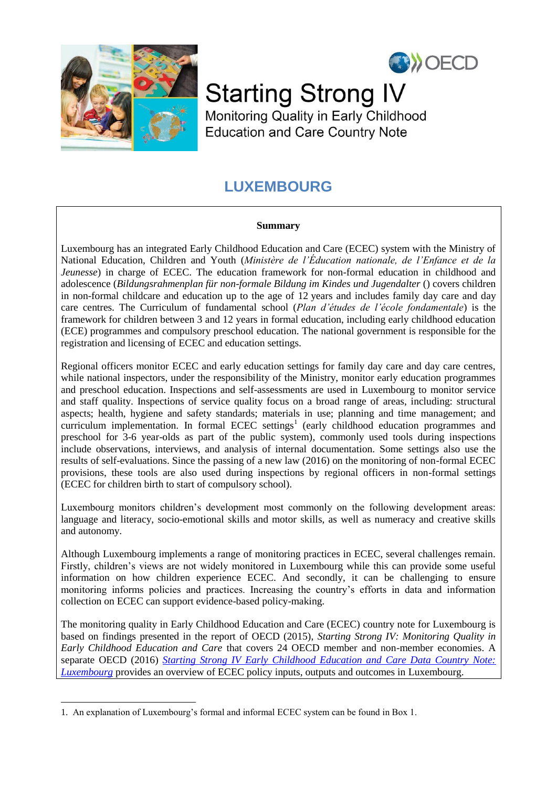



**Starting Strong IV** 

Monitoring Quality in Early Childhood **Education and Care Country Note** 

# **LUXEMBOURG**

# **Summary**

Luxembourg has an integrated Early Childhood Education and Care (ECEC) system with the Ministry of National Education, Children and Youth (*Ministère de l'Éducation nationale, de l'Enfance et de la Jeunesse*) in charge of ECEC. The education framework for non-formal education in childhood and adolescence (*Bildungsrahmenplan für non-formale Bildung im Kindes und Jugendalter* () covers children in non-formal childcare and education up to the age of 12 years and includes family day care and day care centres. The Curriculum of fundamental school (*Plan d'études de l'école fondamentale*) is the framework for children between 3 and 12 years in formal education, including early childhood education (ECE) programmes and compulsory preschool education. The national government is responsible for the registration and licensing of ECEC and education settings.

Regional officers monitor ECEC and early education settings for family day care and day care centres, while national inspectors, under the responsibility of the Ministry, monitor early education programmes and preschool education. Inspections and self-assessments are used in Luxembourg to monitor service and staff quality. Inspections of service quality focus on a broad range of areas, including: structural aspects; health, hygiene and safety standards; materials in use; planning and time management; and curriculum implementation. In formal ECEC settings<sup>1</sup> (early childhood education programmes and preschool for 3-6 year-olds as part of the public system), commonly used tools during inspections include observations, interviews, and analysis of internal documentation. Some settings also use the results of self-evaluations. Since the passing of a new law (2016) on the monitoring of non-formal ECEC provisions, these tools are also used during inspections by regional officers in non-formal settings (ECEC for children birth to start of compulsory school).

Luxembourg monitors children's development most commonly on the following development areas: language and literacy, socio-emotional skills and motor skills, as well as numeracy and creative skills and autonomy.

Although Luxembourg implements a range of monitoring practices in ECEC, several challenges remain. Firstly, children's views are not widely monitored in Luxembourg while this can provide some useful information on how children experience ECEC. And secondly, it can be challenging to ensure monitoring informs policies and practices. Increasing the country's efforts in data and information collection on ECEC can support evidence-based policy-making.

The monitoring quality in Early Childhood Education and Care (ECEC) country note for Luxembourg is based on findings presented in the report of OECD (2015), *Starting Strong IV: Monitoring Quality in Early Childhood Education and Care* that covers 24 OECD member and non-member economies. A separate OECD (2016) *[Starting Strong IV Early Childhood Education and Care Data Country Note:](http://www.oecd.org/edu/school/ECECDCN-Luxembourg.pdf)  [Luxembourg](http://www.oecd.org/edu/school/ECECDCN-Luxembourg.pdf)* provides an overview of ECEC policy inputs, outputs and outcomes in Luxembourg.

 1. An explanation of Luxembourg's formal and informal ECEC system can be found in Box 1.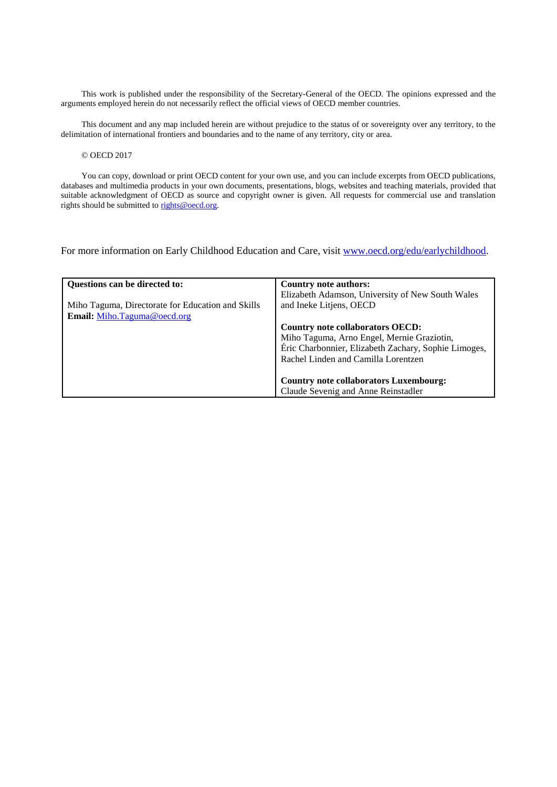This work is published under the responsibility of the Secretary-General of the OECD. The opinions expressed and the arguments employed herein do not necessarily reflect the official views of OECD member countries.

This document and any map included herein are without prejudice to the status of or sovereignty over any territory, to the delimitation of international frontiers and boundaries and to the name of any territory, city or area.

#### © OECD 2017

You can copy, download or print OECD content for your own use, and you can include excerpts from OECD publications, databases and multimedia products in your own documents, presentations, blogs, websites and teaching materials, provided that suitable acknowledgment of OECD as source and copyright owner is given. All requests for commercial use and translation rights should be submitted to [rights@oecd.org.](mailto:rights@oecd.org)

For more information on Early Childhood Education and Care, visi[t www.oecd.org/edu/earlychildhood.](http://www.oecd.org/edu/earlychildhood)

| Questions can be directed to:                     | <b>Country note authors:</b>                         |
|---------------------------------------------------|------------------------------------------------------|
|                                                   | Elizabeth Adamson, University of New South Wales     |
| Miho Taguma, Directorate for Education and Skills | and Ineke Litjens, OECD                              |
| Email: Miho.Taguma@oecd.org                       |                                                      |
|                                                   | Country note collaborators OECD:                     |
|                                                   | Miho Taguma, Arno Engel, Mernie Graziotin,           |
|                                                   | Éric Charbonnier, Elizabeth Zachary, Sophie Limoges, |
|                                                   | Rachel Linden and Camilla Lorentzen                  |
|                                                   |                                                      |
|                                                   | <b>Country note collaborators Luxembourg:</b>        |
|                                                   | Claude Sevenig and Anne Reinstadler                  |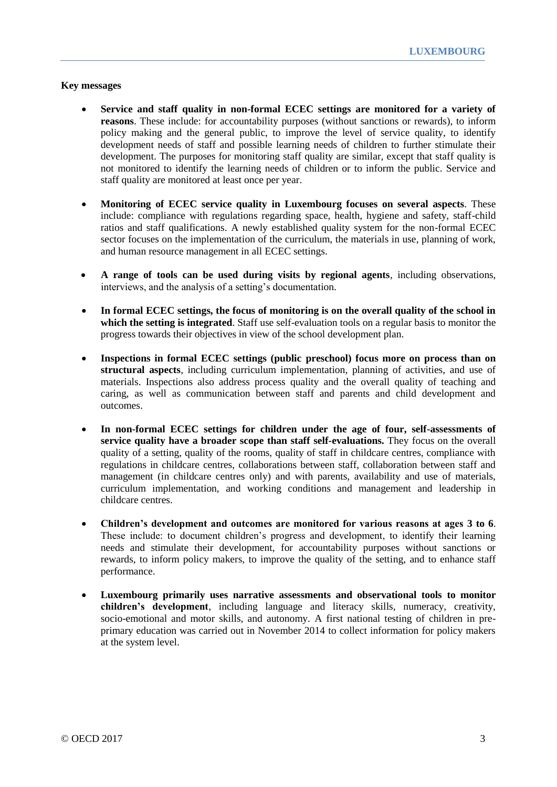## **Key messages**

- **Service and staff quality in non-formal ECEC settings are monitored for a variety of reasons**. These include: for accountability purposes (without sanctions or rewards), to inform policy making and the general public, to improve the level of service quality, to identify development needs of staff and possible learning needs of children to further stimulate their development. The purposes for monitoring staff quality are similar, except that staff quality is not monitored to identify the learning needs of children or to inform the public. Service and staff quality are monitored at least once per year.
- **Monitoring of ECEC service quality in Luxembourg focuses on several aspects**. These include: compliance with regulations regarding space, health, hygiene and safety, staff-child ratios and staff qualifications. A newly established quality system for the non-formal ECEC sector focuses on the implementation of the curriculum, the materials in use, planning of work, and human resource management in all ECEC settings.
- **A range of tools can be used during visits by regional agents**, including observations, interviews, and the analysis of a setting's documentation.
- **In formal ECEC settings, the focus of monitoring is on the overall quality of the school in which the setting is integrated**. Staff use self-evaluation tools on a regular basis to monitor the progress towards their objectives in view of the school development plan.
- **Inspections in formal ECEC settings (public preschool) focus more on process than on structural aspects**, including curriculum implementation, planning of activities, and use of materials. Inspections also address process quality and the overall quality of teaching and caring, as well as communication between staff and parents and child development and outcomes.
- **In non-formal ECEC settings for children under the age of four, self-assessments of service quality have a broader scope than staff self-evaluations.** They focus on the overall quality of a setting, quality of the rooms, quality of staff in childcare centres, compliance with regulations in childcare centres, collaborations between staff, collaboration between staff and management (in childcare centres only) and with parents, availability and use of materials, curriculum implementation, and working conditions and management and leadership in childcare centres.
- **Children's development and outcomes are monitored for various reasons at ages 3 to 6**. These include: to document children's progress and development, to identify their learning needs and stimulate their development, for accountability purposes without sanctions or rewards, to inform policy makers, to improve the quality of the setting, and to enhance staff performance.
- **Luxembourg primarily uses narrative assessments and observational tools to monitor children's development**, including language and literacy skills, numeracy, creativity, socio-emotional and motor skills, and autonomy. A first national testing of children in preprimary education was carried out in November 2014 to collect information for policy makers at the system level.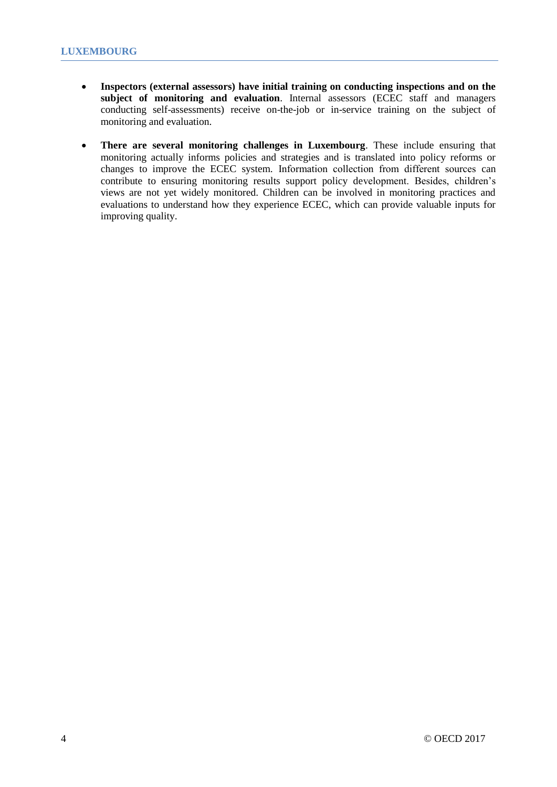- **Inspectors (external assessors) have initial training on conducting inspections and on the subject of monitoring and evaluation**. Internal assessors (ECEC staff and managers conducting self-assessments) receive on-the-job or in-service training on the subject of monitoring and evaluation.
- **There are several monitoring challenges in Luxembourg**. These include ensuring that monitoring actually informs policies and strategies and is translated into policy reforms or changes to improve the ECEC system. Information collection from different sources can contribute to ensuring monitoring results support policy development. Besides, children's views are not yet widely monitored. Children can be involved in monitoring practices and evaluations to understand how they experience ECEC, which can provide valuable inputs for improving quality.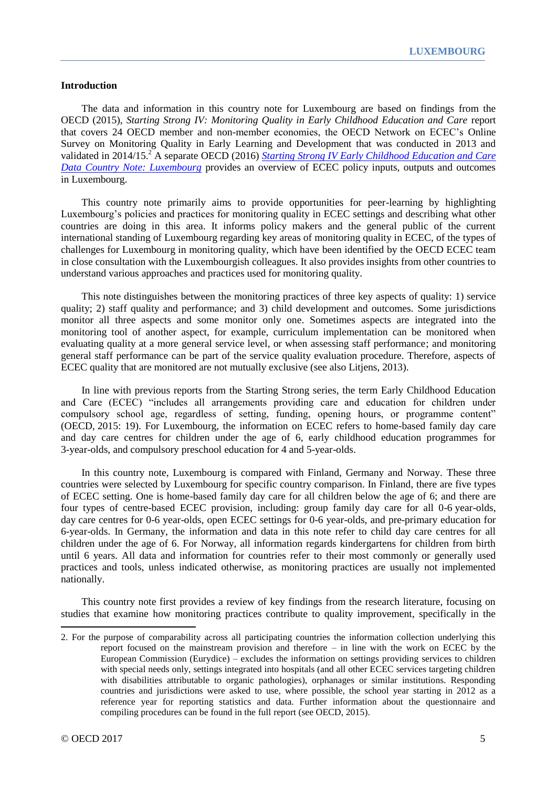## **Introduction**

The data and information in this country note for Luxembourg are based on findings from the OECD (2015), *Starting Strong IV: Monitoring Quality in Early Childhood Education and Care* report that covers 24 OECD member and non-member economies, the OECD Network on ECEC's Online Survey on Monitoring Quality in Early Learning and Development that was conducted in 2013 and validated in 2014/15<sup>2</sup> A separate OECD (2016) *Starting Strong IV Early Childhood Education and Care [Data Country Note: Luxembourg](http://www.oecd.org/edu/school/ECECDCN-Luxembourg.pdf)* provides an overview of ECEC policy inputs, outputs and outcomes in Luxembourg.

This country note primarily aims to provide opportunities for peer-learning by highlighting Luxembourg's policies and practices for monitoring quality in ECEC settings and describing what other countries are doing in this area. It informs policy makers and the general public of the current international standing of Luxembourg regarding key areas of monitoring quality in ECEC, of the types of challenges for Luxembourg in monitoring quality, which have been identified by the OECD ECEC team in close consultation with the Luxembourgish colleagues. It also provides insights from other countries to understand various approaches and practices used for monitoring quality.

This note distinguishes between the monitoring practices of three key aspects of quality: 1) service quality; 2) staff quality and performance; and 3) child development and outcomes. Some jurisdictions monitor all three aspects and some monitor only one. Sometimes aspects are integrated into the monitoring tool of another aspect, for example, curriculum implementation can be monitored when evaluating quality at a more general service level, or when assessing staff performance; and monitoring general staff performance can be part of the service quality evaluation procedure. Therefore, aspects of ECEC quality that are monitored are not mutually exclusive (see also Litjens, 2013).

In line with previous reports from the Starting Strong series, the term Early Childhood Education and Care (ECEC) "includes all arrangements providing care and education for children under compulsory school age, regardless of setting, funding, opening hours, or programme content" (OECD, 2015: 19). For Luxembourg, the information on ECEC refers to home-based family day care and day care centres for children under the age of 6, early childhood education programmes for 3-year-olds, and compulsory preschool education for 4 and 5-year-olds.

In this country note, Luxembourg is compared with Finland, Germany and Norway. These three countries were selected by Luxembourg for specific country comparison. In Finland, there are five types of ECEC setting. One is home-based family day care for all children below the age of 6; and there are four types of centre-based ECEC provision, including: group family day care for all 0-6 year-olds, day care centres for 0-6 year-olds, open ECEC settings for 0-6 year-olds, and pre-primary education for 6-year-olds. In Germany, the information and data in this note refer to child day care centres for all children under the age of 6. For Norway, all information regards kindergartens for children from birth until 6 years. All data and information for countries refer to their most commonly or generally used practices and tools, unless indicated otherwise, as monitoring practices are usually not implemented nationally.

This country note first provides a review of key findings from the research literature, focusing on studies that examine how monitoring practices contribute to quality improvement, specifically in the

<sup>2.</sup> For the purpose of comparability across all participating countries the information collection underlying this report focused on the mainstream provision and therefore – in line with the work on ECEC by the European Commission (Eurydice) – excludes the information on settings providing services to children with special needs only, settings integrated into hospitals (and all other ECEC services targeting children with disabilities attributable to organic pathologies), orphanages or similar institutions. Responding countries and jurisdictions were asked to use, where possible, the school year starting in 2012 as a reference year for reporting statistics and data. Further information about the questionnaire and compiling procedures can be found in the full report (see OECD, 2015).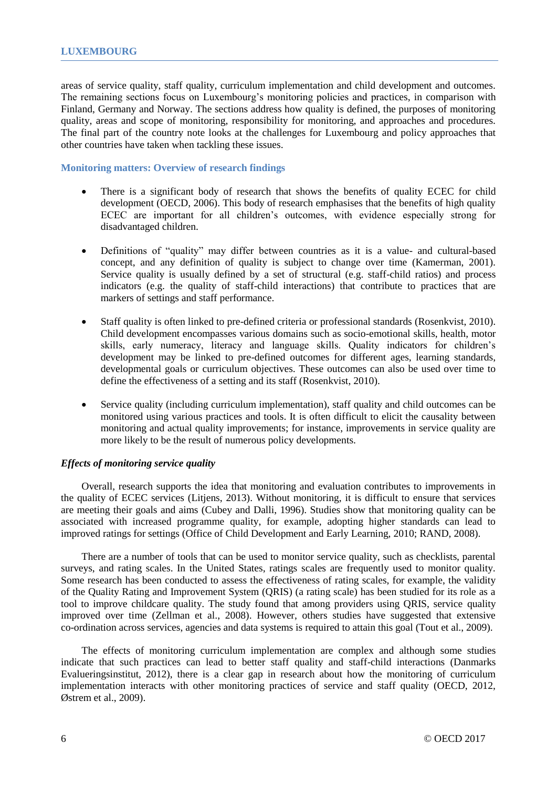areas of service quality, staff quality, curriculum implementation and child development and outcomes. The remaining sections focus on Luxembourg's monitoring policies and practices, in comparison with Finland, Germany and Norway. The sections address how quality is defined, the purposes of monitoring quality, areas and scope of monitoring, responsibility for monitoring, and approaches and procedures. The final part of the country note looks at the challenges for Luxembourg and policy approaches that other countries have taken when tackling these issues.

## **Monitoring matters: Overview of research findings**

- There is a significant body of research that shows the benefits of quality ECEC for child development (OECD, 2006). This body of research emphasises that the benefits of high quality ECEC are important for all children's outcomes, with evidence especially strong for disadvantaged children.
- Definitions of "quality" may differ between countries as it is a value- and cultural-based concept, and any definition of quality is subject to change over time (Kamerman, 2001). Service quality is usually defined by a set of structural (e.g. staff-child ratios) and process indicators (e.g. the quality of staff-child interactions) that contribute to practices that are markers of settings and staff performance.
- Staff quality is often linked to pre-defined criteria or professional standards (Rosenkvist, 2010). Child development encompasses various domains such as socio-emotional skills, health, motor skills, early numeracy, literacy and language skills. Quality indicators for children's development may be linked to pre-defined outcomes for different ages, learning standards, developmental goals or curriculum objectives. These outcomes can also be used over time to define the effectiveness of a setting and its staff (Rosenkvist, 2010).
- Service quality (including curriculum implementation), staff quality and child outcomes can be monitored using various practices and tools. It is often difficult to elicit the causality between monitoring and actual quality improvements; for instance, improvements in service quality are more likely to be the result of numerous policy developments.

## *Effects of monitoring service quality*

Overall, research supports the idea that monitoring and evaluation contributes to improvements in the quality of ECEC services (Litjens, 2013). Without monitoring, it is difficult to ensure that services are meeting their goals and aims (Cubey and Dalli, 1996). Studies show that monitoring quality can be associated with increased programme quality, for example, adopting higher standards can lead to improved ratings for settings (Office of Child Development and Early Learning, 2010; RAND, 2008).

There are a number of tools that can be used to monitor service quality, such as checklists, parental surveys, and rating scales. In the United States, ratings scales are frequently used to monitor quality. Some research has been conducted to assess the effectiveness of rating scales, for example, the validity of the Quality Rating and Improvement System (QRIS) (a rating scale) has been studied for its role as a tool to improve childcare quality. The study found that among providers using QRIS, service quality improved over time (Zellman et al., 2008). However, others studies have suggested that extensive co-ordination across services, agencies and data systems is required to attain this goal (Tout et al., 2009).

The effects of monitoring curriculum implementation are complex and although some studies indicate that such practices can lead to better staff quality and staff-child interactions (Danmarks Evalueringsinstitut, 2012), there is a clear gap in research about how the monitoring of curriculum implementation interacts with other monitoring practices of service and staff quality (OECD, 2012, Østrem et al., 2009).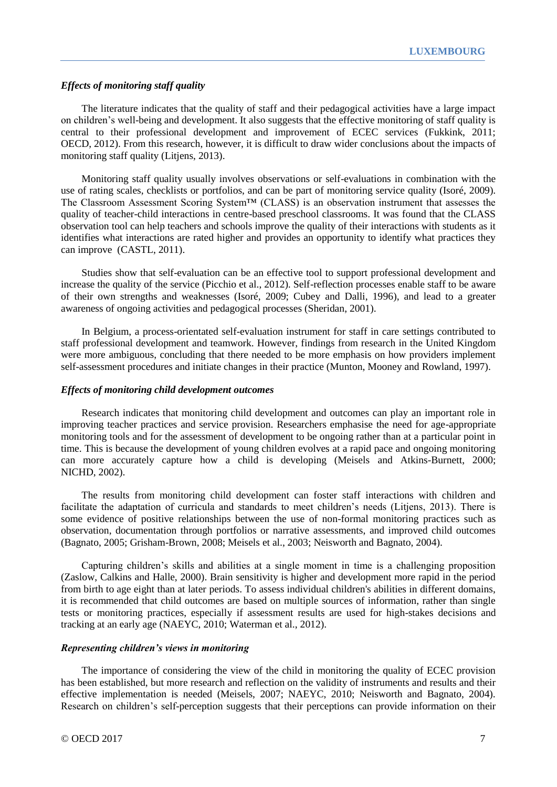## *Effects of monitoring staff quality*

The literature indicates that the quality of staff and their pedagogical activities have a large impact on children's well-being and development. It also suggests that the effective monitoring of staff quality is central to their professional development and improvement of ECEC services (Fukkink, 2011; OECD, 2012). From this research, however, it is difficult to draw wider conclusions about the impacts of monitoring staff quality (Litjens, 2013).

Monitoring staff quality usually involves observations or self-evaluations in combination with the use of rating scales, checklists or portfolios, and can be part of monitoring service quality (Isoré, 2009). The Classroom Assessment Scoring System™ (CLASS) is an observation instrument that assesses the quality of teacher-child interactions in centre-based preschool classrooms. It was found that the CLASS observation tool can help teachers and schools improve the quality of their interactions with students as it identifies what interactions are rated higher and provides an opportunity to identify what practices they can improve (CASTL, 2011).

Studies show that self-evaluation can be an effective tool to support professional development and increase the quality of the service (Picchio et al., 2012). Self-reflection processes enable staff to be aware of their own strengths and weaknesses (Isoré, 2009; Cubey and Dalli, 1996), and lead to a greater awareness of ongoing activities and pedagogical processes (Sheridan, 2001).

In Belgium, a process-orientated self-evaluation instrument for staff in care settings contributed to staff professional development and teamwork. However, findings from research in the United Kingdom were more ambiguous, concluding that there needed to be more emphasis on how providers implement self-assessment procedures and initiate changes in their practice (Munton, Mooney and Rowland, 1997).

## *Effects of monitoring child development outcomes*

Research indicates that monitoring child development and outcomes can play an important role in improving teacher practices and service provision. Researchers emphasise the need for age-appropriate monitoring tools and for the assessment of development to be ongoing rather than at a particular point in time. This is because the development of young children evolves at a rapid pace and ongoing monitoring can more accurately capture how a child is developing (Meisels and Atkins-Burnett, 2000; NICHD, 2002).

The results from monitoring child development can foster staff interactions with children and facilitate the adaptation of curricula and standards to meet children's needs (Litjens, 2013). There is some evidence of positive relationships between the use of non-formal monitoring practices such as observation, documentation through portfolios or narrative assessments, and improved child outcomes (Bagnato, 2005; Grisham-Brown, 2008; Meisels et al., 2003; Neisworth and Bagnato, 2004).

Capturing children's skills and abilities at a single moment in time is a challenging proposition (Zaslow, Calkins and Halle, 2000). Brain sensitivity is higher and development more rapid in the period from birth to age eight than at later periods. To assess individual children's abilities in different domains, it is recommended that child outcomes are based on multiple sources of information, rather than single tests or monitoring practices, especially if assessment results are used for high-stakes decisions and tracking at an early age (NAEYC, 2010; Waterman et al., 2012).

#### *Representing children's views in monitoring*

The importance of considering the view of the child in monitoring the quality of ECEC provision has been established, but more research and reflection on the validity of instruments and results and their effective implementation is needed (Meisels, 2007; NAEYC, 2010; Neisworth and Bagnato, 2004). Research on children's self-perception suggests that their perceptions can provide information on their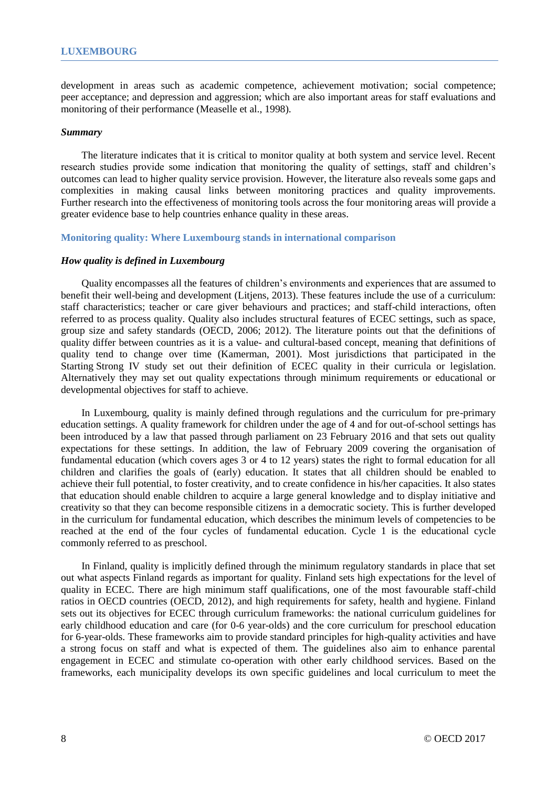development in areas such as academic competence, achievement motivation; social competence; peer acceptance; and depression and aggression; which are also important areas for staff evaluations and monitoring of their performance (Measelle et al., 1998).

## *Summary*

The literature indicates that it is critical to monitor quality at both system and service level. Recent research studies provide some indication that monitoring the quality of settings, staff and children's outcomes can lead to higher quality service provision. However, the literature also reveals some gaps and complexities in making causal links between monitoring practices and quality improvements. Further research into the effectiveness of monitoring tools across the four monitoring areas will provide a greater evidence base to help countries enhance quality in these areas.

## **Monitoring quality: Where Luxembourg stands in international comparison**

## *How quality is defined in Luxembourg*

Quality encompasses all the features of children's environments and experiences that are assumed to benefit their well-being and development (Litjens, 2013). These features include the use of a curriculum: staff characteristics; teacher or care giver behaviours and practices; and staff-child interactions, often referred to as process quality. Quality also includes structural features of ECEC settings, such as space, group size and safety standards (OECD, 2006; 2012). The literature points out that the definitions of quality differ between countries as it is a value- and cultural-based concept, meaning that definitions of quality tend to change over time (Kamerman, 2001). Most jurisdictions that participated in the Starting Strong IV study set out their definition of ECEC quality in their curricula or legislation. Alternatively they may set out quality expectations through minimum requirements or educational or developmental objectives for staff to achieve.

In Luxembourg, quality is mainly defined through regulations and the curriculum for pre-primary education settings. A quality framework for children under the age of 4 and for out-of-school settings has been introduced by a law that passed through parliament on 23 February 2016 and that sets out quality expectations for these settings. In addition, the law of February 2009 covering the organisation of fundamental education (which covers ages 3 or 4 to 12 years) states the right to formal education for all children and clarifies the goals of (early) education. It states that all children should be enabled to achieve their full potential, to foster creativity, and to create confidence in his/her capacities. It also states that education should enable children to acquire a large general knowledge and to display initiative and creativity so that they can become responsible citizens in a democratic society. This is further developed in the curriculum for fundamental education, which describes the minimum levels of competencies to be reached at the end of the four cycles of fundamental education. Cycle 1 is the educational cycle commonly referred to as preschool.

In Finland, quality is implicitly defined through the minimum regulatory standards in place that set out what aspects Finland regards as important for quality. Finland sets high expectations for the level of quality in ECEC. There are high minimum staff qualifications, one of the most favourable staff-child ratios in OECD countries (OECD, 2012), and high requirements for safety, health and hygiene. Finland sets out its objectives for ECEC through curriculum frameworks: the national curriculum guidelines for early childhood education and care (for 0-6 year-olds) and the core curriculum for preschool education for 6-year-olds. These frameworks aim to provide standard principles for high-quality activities and have a strong focus on staff and what is expected of them. The guidelines also aim to enhance parental engagement in ECEC and stimulate co-operation with other early childhood services. Based on the frameworks, each municipality develops its own specific guidelines and local curriculum to meet the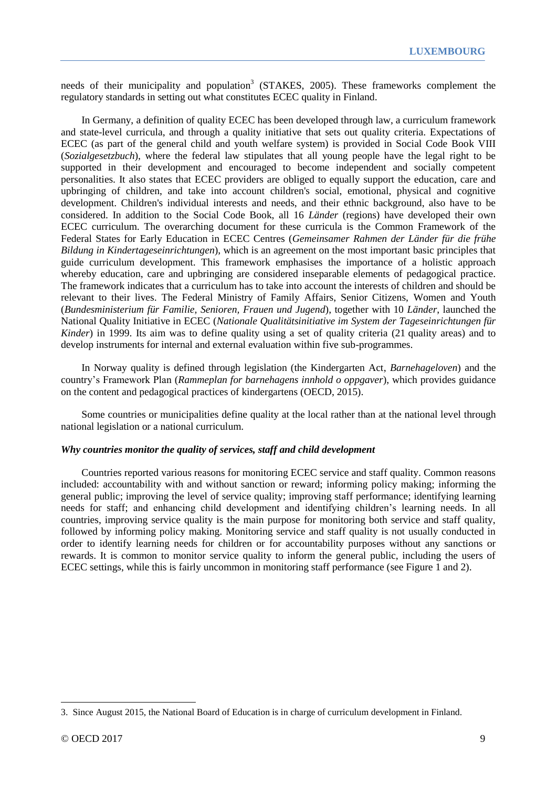needs of their municipality and population<sup>3</sup> (STAKES, 2005). These frameworks complement the regulatory standards in setting out what constitutes ECEC quality in Finland.

In Germany, a definition of quality ECEC has been developed through law, a curriculum framework and state-level curricula, and through a quality initiative that sets out quality criteria. Expectations of ECEC (as part of the general child and youth welfare system) is provided in Social Code Book VIII (*Sozialgesetzbuch*), where the federal law stipulates that all young people have the legal right to be supported in their development and encouraged to become independent and socially competent personalities. It also states that ECEC providers are obliged to equally support the education, care and upbringing of children, and take into account children's social, emotional, physical and cognitive development. Children's individual interests and needs, and their ethnic background, also have to be considered. In addition to the Social Code Book, all 16 *Länder* (regions) have developed their own ECEC curriculum. The overarching document for these curricula is the Common Framework of the Federal States for Early Education in ECEC Centres (*Gemeinsamer Rahmen der Länder für die frühe Bildung in Kindertageseinrichtungen*), which is an agreement on the most important basic principles that guide curriculum development. This framework emphasises the importance of a holistic approach whereby education, care and upbringing are considered inseparable elements of pedagogical practice. The framework indicates that a curriculum has to take into account the interests of children and should be relevant to their lives. The Federal Ministry of Family Affairs, Senior Citizens, Women and Youth (*Bundesministerium für Familie, Senioren, Frauen und Jugend*), together with 10 *Länder*, launched the National Quality Initiative in ECEC (*Nationale Qualitätsinitiative im System der Tageseinrichtungen für Kinder*) in 1999. Its aim was to define quality using a set of quality criteria (21 quality areas) and to develop instruments for internal and external evaluation within five sub-programmes.

In Norway quality is defined through legislation (the Kindergarten Act, *Barnehageloven*) and the country's Framework Plan (*Rammeplan for barnehagens innhold o oppgaver*), which provides guidance on the content and pedagogical practices of kindergartens (OECD, 2015).

Some countries or municipalities define quality at the local rather than at the national level through national legislation or a national curriculum.

## *Why countries monitor the quality of services, staff and child development*

Countries reported various reasons for monitoring ECEC service and staff quality. Common reasons included: accountability with and without sanction or reward; informing policy making; informing the general public; improving the level of service quality; improving staff performance; identifying learning needs for staff; and enhancing child development and identifying children's learning needs. In all countries, improving service quality is the main purpose for monitoring both service and staff quality, followed by informing policy making. Monitoring service and staff quality is not usually conducted in order to identify learning needs for children or for accountability purposes without any sanctions or rewards. It is common to monitor service quality to inform the general public, including the users of ECEC settings, while this is fairly uncommon in monitoring staff performance (see Figure 1 and 2).

<sup>3.</sup> Since August 2015, the National Board of Education is in charge of curriculum development in Finland.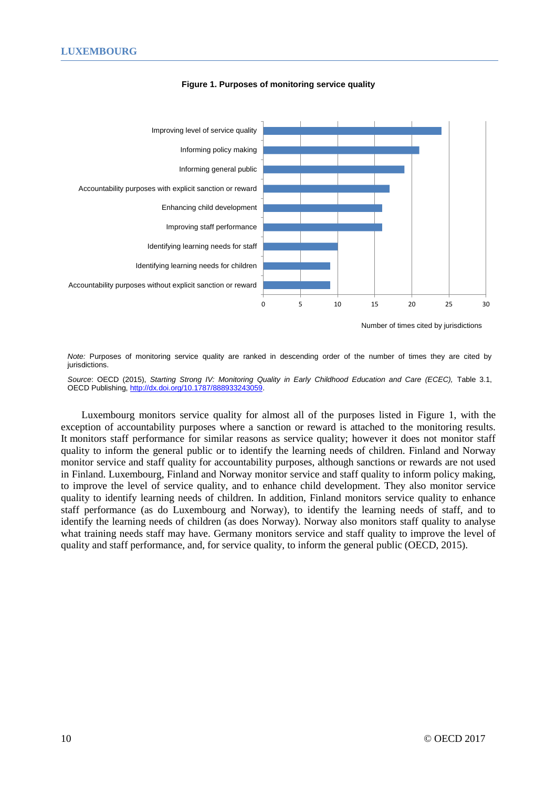

**Figure 1. Purposes of monitoring service quality**

Number of times cited by jurisdictions

*Note:* Purposes of monitoring service quality are ranked in descending order of the number of times they are cited by jurisdictions.

*Source*: OECD (2015), *Starting Strong IV: Monitoring Quality in Early Childhood Education and Care (ECEC),* Table 3.1, OECD Publishing, http://dx.doi.org/10.1787/888933243

Luxembourg monitors service quality for almost all of the purposes listed in Figure 1, with the exception of accountability purposes where a sanction or reward is attached to the monitoring results. It monitors staff performance for similar reasons as service quality; however it does not monitor staff quality to inform the general public or to identify the learning needs of children. Finland and Norway monitor service and staff quality for accountability purposes, although sanctions or rewards are not used in Finland. Luxembourg, Finland and Norway monitor service and staff quality to inform policy making, to improve the level of service quality, and to enhance child development. They also monitor service quality to identify learning needs of children. In addition, Finland monitors service quality to enhance staff performance (as do Luxembourg and Norway), to identify the learning needs of staff, and to identify the learning needs of children (as does Norway). Norway also monitors staff quality to analyse what training needs staff may have. Germany monitors service and staff quality to improve the level of quality and staff performance, and, for service quality, to inform the general public (OECD, 2015).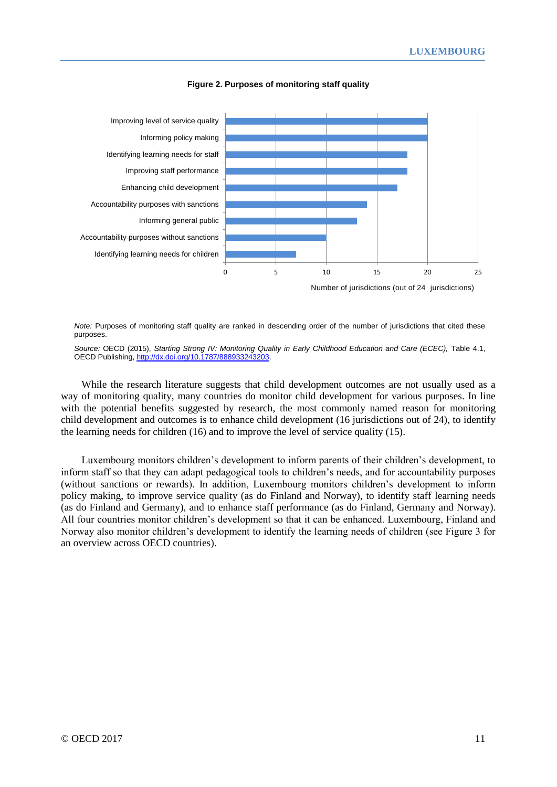

## **Figure 2. Purposes of monitoring staff quality**

*Note:* Purposes of monitoring staff quality are ranked in descending order of the number of jurisdictions that cited these purposes.

*Source:* OECD (2015), *Starting Strong IV: Monitoring Quality in Early Childhood Education and Care (ECEC),* Table 4.1, OECD Publishing, [http://dx.doi.org/10.1787/888933243203.](http://dx.doi.org/10.1787/888933243203)

While the research literature suggests that child development outcomes are not usually used as a way of monitoring quality, many countries do monitor child development for various purposes. In line with the potential benefits suggested by research, the most commonly named reason for monitoring child development and outcomes is to enhance child development (16 jurisdictions out of 24), to identify the learning needs for children (16) and to improve the level of service quality (15).

Luxembourg monitors children's development to inform parents of their children's development, to inform staff so that they can adapt pedagogical tools to children's needs, and for accountability purposes (without sanctions or rewards). In addition, Luxembourg monitors children's development to inform policy making, to improve service quality (as do Finland and Norway), to identify staff learning needs (as do Finland and Germany), and to enhance staff performance (as do Finland, Germany and Norway). All four countries monitor children's development so that it can be enhanced. Luxembourg, Finland and Norway also monitor children's development to identify the learning needs of children (see Figure 3 for an overview across OECD countries).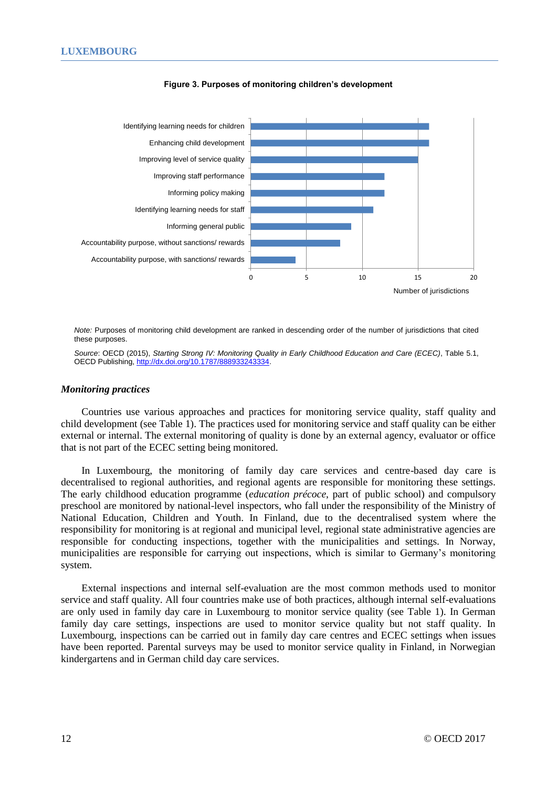

**Figure 3. Purposes of monitoring children's development**

*Note:* Purposes of monitoring child development are ranked in descending order of the number of jurisdictions that cited these purposes.

*Source*: OECD (2015), *Starting Strong IV: Monitoring Quality in Early Childhood Education and Care (ECEC)*, Table 5.1, OECD Publishing, [http://dx.doi.org/10.1787/888933243334.](http://dx.doi.org/10.1787/888933243334)

## *Monitoring practices*

Countries use various approaches and practices for monitoring service quality, staff quality and child development (see Table 1). The practices used for monitoring service and staff quality can be either external or internal. The external monitoring of quality is done by an external agency, evaluator or office that is not part of the ECEC setting being monitored.

In Luxembourg, the monitoring of family day care services and centre-based day care is decentralised to regional authorities, and regional agents are responsible for monitoring these settings. The early childhood education programme (*education précoce*, part of public school) and compulsory preschool are monitored by national-level inspectors, who fall under the responsibility of the Ministry of National Education, Children and Youth. In Finland, due to the decentralised system where the responsibility for monitoring is at regional and municipal level, regional state administrative agencies are responsible for conducting inspections, together with the municipalities and settings. In Norway, municipalities are responsible for carrying out inspections, which is similar to Germany's monitoring system.

External inspections and internal self-evaluation are the most common methods used to monitor service and staff quality. All four countries make use of both practices, although internal self-evaluations are only used in family day care in Luxembourg to monitor service quality (see Table 1). In German family day care settings, inspections are used to monitor service quality but not staff quality. In Luxembourg, inspections can be carried out in family day care centres and ECEC settings when issues have been reported. Parental surveys may be used to monitor service quality in Finland, in Norwegian kindergartens and in German child day care services.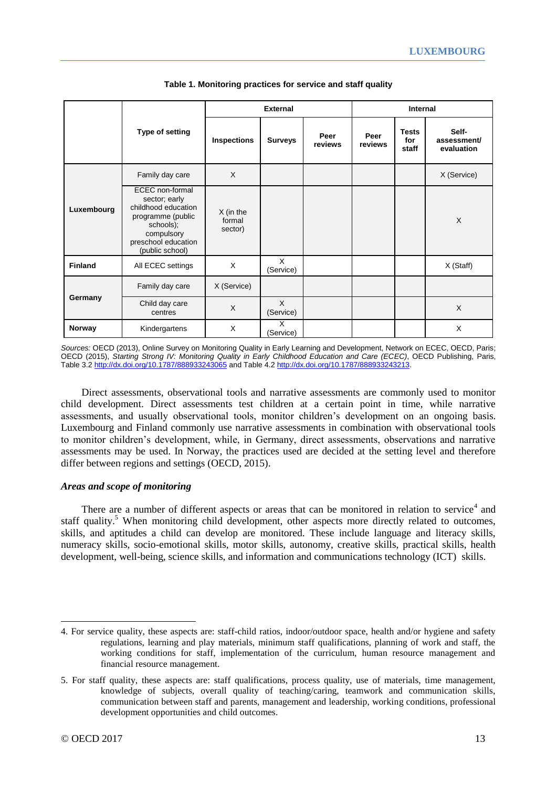|                |                                                                                                                                                   |                                |                | <b>Internal</b> |                 |                              |                                    |
|----------------|---------------------------------------------------------------------------------------------------------------------------------------------------|--------------------------------|----------------|-----------------|-----------------|------------------------------|------------------------------------|
|                | Type of setting                                                                                                                                   | <b>Inspections</b>             | <b>Surveys</b> | Peer<br>reviews | Peer<br>reviews | <b>Tests</b><br>for<br>staff | Self-<br>assessment/<br>evaluation |
| Luxembourg     | Family day care                                                                                                                                   | X                              |                |                 |                 |                              | X (Service)                        |
|                | ECEC non-formal<br>sector; early<br>childhood education<br>programme (public<br>schools);<br>compulsory<br>preschool education<br>(public school) | X (in the<br>formal<br>sector) |                |                 |                 |                              | X                                  |
| <b>Finland</b> | All ECEC settings                                                                                                                                 | X                              | X<br>(Service) |                 |                 |                              | X (Staff)                          |
| Germany        | Family day care                                                                                                                                   | X (Service)                    |                |                 |                 |                              |                                    |
|                | Child day care<br>centres                                                                                                                         | X                              | X<br>(Service) |                 |                 |                              | X                                  |
| Norway         | Kindergartens                                                                                                                                     | X                              | X<br>(Service) |                 |                 |                              | X                                  |

#### **Table 1. Monitoring practices for service and staff quality**

*Sources:* OECD (2013), Online Survey on Monitoring Quality in Early Learning and Development, Network on ECEC, OECD, Paris; OECD (2015), *Starting Strong IV: Monitoring Quality in Early Childhood Education and Care (ECEC)*, OECD Publishing, Paris, Table 3.2<http://dx.doi.org/10.1787/888933243065> and Table 4.[2 http://dx.doi.org/10.1787/888933243213.](http://dx.doi.org/10.1787/888933243213)

Direct assessments, observational tools and narrative assessments are commonly used to monitor child development. Direct assessments test children at a certain point in time, while narrative assessments, and usually observational tools, monitor children's development on an ongoing basis. Luxembourg and Finland commonly use narrative assessments in combination with observational tools to monitor children's development, while, in Germany, direct assessments, observations and narrative assessments may be used. In Norway, the practices used are decided at the setting level and therefore differ between regions and settings (OECD, 2015).

## *Areas and scope of monitoring*

There are a number of different aspects or areas that can be monitored in relation to service<sup>4</sup> and staff quality.<sup>5</sup> When monitoring child development, other aspects more directly related to outcomes, skills, and aptitudes a child can develop are monitored. These include language and literacy skills, numeracy skills, socio-emotional skills, motor skills, autonomy, creative skills, practical skills, health development, well-being, science skills, and information and communications technology (ICT) skills.

<sup>4.</sup> For service quality, these aspects are: staff-child ratios, indoor/outdoor space, health and/or hygiene and safety regulations, learning and play materials, minimum staff qualifications, planning of work and staff, the working conditions for staff, implementation of the curriculum, human resource management and financial resource management.

<sup>5.</sup> For staff quality, these aspects are: staff qualifications, process quality, use of materials, time management, knowledge of subjects, overall quality of teaching/caring, teamwork and communication skills, communication between staff and parents, management and leadership, working conditions, professional development opportunities and child outcomes.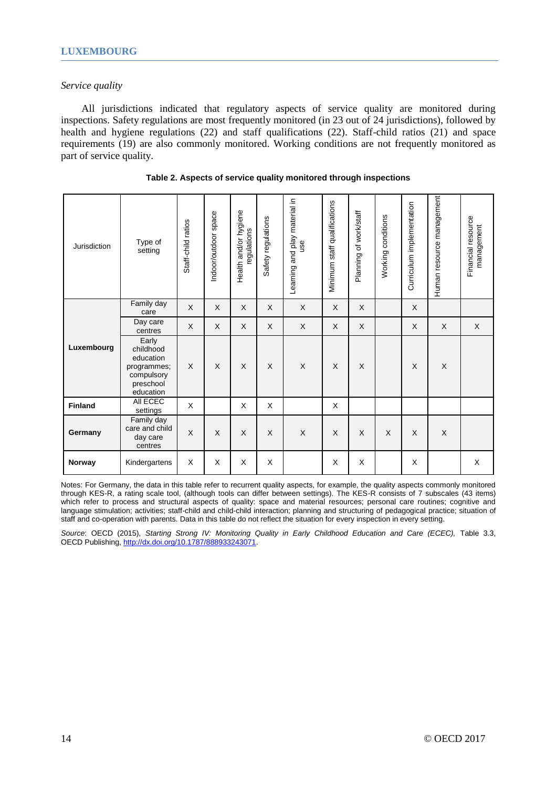## *Service quality*

All jurisdictions indicated that regulatory aspects of service quality are monitored during inspections. Safety regulations are most frequently monitored (in 23 out of 24 jurisdictions), followed by health and hygiene regulations (22) and staff qualifications (22). Staff-child ratios (21) and space requirements (19) are also commonly monitored. Working conditions are not frequently monitored as part of service quality.

| Jurisdiction   | Type of<br>setting                                                                     | Staff-child ratios | Indoor/outdoor space | Health and/or hygiene<br>regulations | Safety regulations | Learning and play material in<br>use | Minimum staff qualifications | Planning of work/staff | Working conditions | Curriculum implementation | Human resource management | Financial resource<br>management |
|----------------|----------------------------------------------------------------------------------------|--------------------|----------------------|--------------------------------------|--------------------|--------------------------------------|------------------------------|------------------------|--------------------|---------------------------|---------------------------|----------------------------------|
|                | Family day<br>care                                                                     | X                  | X                    | X                                    | X                  | $\times$                             | $\times$                     | X                      |                    | X                         |                           |                                  |
| Luxembourg     | Day care<br>centres                                                                    | X                  | X                    | X                                    | X                  | X                                    | X                            | X                      |                    | X                         | X                         | $\sf X$                          |
|                | Early<br>childhood<br>education<br>programmes;<br>compulsory<br>preschool<br>education | X                  | X                    | X                                    | X                  | X                                    | X                            | X                      |                    | X                         | X                         |                                  |
| <b>Finland</b> | All ECEC<br>settings                                                                   | X                  |                      | X                                    | X                  |                                      | X                            |                        |                    |                           |                           |                                  |
| Germany        | Family day<br>care and child<br>day care<br>centres                                    | X                  | X                    | X                                    | X                  | X                                    | X                            | X                      | X                  | X                         | X                         |                                  |
| Norway         | Kindergartens                                                                          | X                  | X                    | X                                    | X                  |                                      | Χ                            | Χ                      |                    | Χ                         |                           | X                                |

## **Table 2. Aspects of service quality monitored through inspections**

Notes: For Germany, the data in this table refer to recurrent quality aspects, for example, the quality aspects commonly monitored through KES-R, a rating scale tool, (although tools can differ between settings). The KES-R consists of 7 subscales (43 items) which refer to process and structural aspects of quality: space and material resources; personal care routines; cognitive and language stimulation; activities; staff-child and child-child interaction; planning and structuring of pedagogical practice; situation of staff and co-operation with parents. Data in this table do not reflect the situation for every inspection in every setting.

*Source*: OECD (2015), *Starting Strong IV: Monitoring Quality in Early Childhood Education and Care (ECEC),* Table 3.3, OECD Publishing, [http://dx.doi.org/10.1787/888933243071.](http://dx.doi.org/10.1787/888933243071)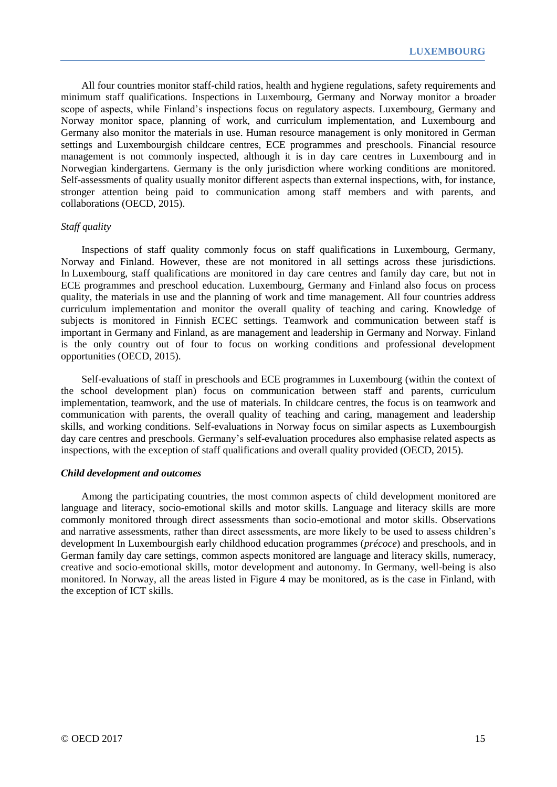All four countries monitor staff-child ratios, health and hygiene regulations, safety requirements and minimum staff qualifications. Inspections in Luxembourg, Germany and Norway monitor a broader scope of aspects, while Finland's inspections focus on regulatory aspects. Luxembourg, Germany and Norway monitor space, planning of work, and curriculum implementation, and Luxembourg and Germany also monitor the materials in use. Human resource management is only monitored in German settings and Luxembourgish childcare centres, ECE programmes and preschools. Financial resource management is not commonly inspected, although it is in day care centres in Luxembourg and in Norwegian kindergartens. Germany is the only jurisdiction where working conditions are monitored. Self-assessments of quality usually monitor different aspects than external inspections, with, for instance, stronger attention being paid to communication among staff members and with parents, and collaborations (OECD, 2015).

## *Staff quality*

Inspections of staff quality commonly focus on staff qualifications in Luxembourg, Germany, Norway and Finland. However, these are not monitored in all settings across these jurisdictions. In Luxembourg, staff qualifications are monitored in day care centres and family day care, but not in ECE programmes and preschool education. Luxembourg, Germany and Finland also focus on process quality, the materials in use and the planning of work and time management. All four countries address curriculum implementation and monitor the overall quality of teaching and caring. Knowledge of subjects is monitored in Finnish ECEC settings. Teamwork and communication between staff is important in Germany and Finland, as are management and leadership in Germany and Norway. Finland is the only country out of four to focus on working conditions and professional development opportunities (OECD, 2015).

Self-evaluations of staff in preschools and ECE programmes in Luxembourg (within the context of the school development plan) focus on communication between staff and parents, curriculum implementation, teamwork, and the use of materials. In childcare centres, the focus is on teamwork and communication with parents, the overall quality of teaching and caring, management and leadership skills, and working conditions. Self-evaluations in Norway focus on similar aspects as Luxembourgish day care centres and preschools. Germany's self-evaluation procedures also emphasise related aspects as inspections, with the exception of staff qualifications and overall quality provided (OECD, 2015).

## *Child development and outcomes*

Among the participating countries, the most common aspects of child development monitored are language and literacy, socio-emotional skills and motor skills. Language and literacy skills are more commonly monitored through direct assessments than socio-emotional and motor skills. Observations and narrative assessments, rather than direct assessments, are more likely to be used to assess children's development In Luxembourgish early childhood education programmes (*précoce*) and preschools, and in German family day care settings, common aspects monitored are language and literacy skills, numeracy, creative and socio-emotional skills, motor development and autonomy. In Germany, well-being is also monitored. In Norway, all the areas listed in Figure 4 may be monitored, as is the case in Finland, with the exception of ICT skills.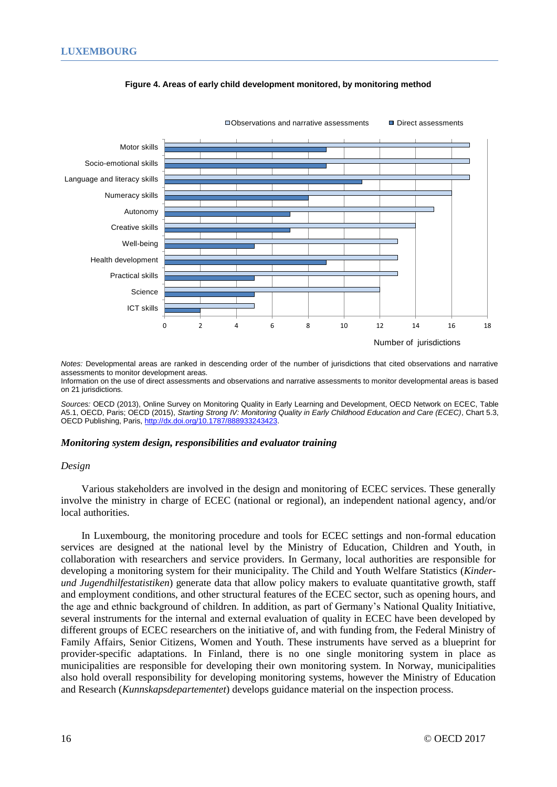

#### **Figure 4. Areas of early child development monitored, by monitoring method**

*Notes:* Developmental areas are ranked in descending order of the number of jurisdictions that cited observations and narrative assessments to monitor development areas*.*

Information on the use of direct assessments and observations and narrative assessments to monitor developmental areas is based on 21 jurisdictions.

*Sources:* OECD (2013), Online Survey on Monitoring Quality in Early Learning and Development, OECD Network on ECEC, Table A5.1, OECD, Paris; OECD (2015), *Starting Strong IV: Monitoring Quality in Early Childhood Education and Care (ECEC)*, Chart 5.3, OECD Publishing, Paris[, http://dx.doi.org/10.1787/888933243423.](http://dx.doi.org/10.1787/888933243423)

## *Monitoring system design, responsibilities and evaluator training*

## *Design*

Various stakeholders are involved in the design and monitoring of ECEC services. These generally involve the ministry in charge of ECEC (national or regional), an independent national agency, and/or local authorities.

In Luxembourg, the monitoring procedure and tools for ECEC settings and non-formal education services are designed at the national level by the Ministry of Education, Children and Youth, in collaboration with researchers and service providers. In Germany, local authorities are responsible for developing a monitoring system for their municipality. The Child and Youth Welfare Statistics (*Kinderund Jugendhilfestatistiken*) generate data that allow policy makers to evaluate quantitative growth, staff and employment conditions, and other structural features of the ECEC sector, such as opening hours, and the age and ethnic background of children. In addition, as part of Germany's National Quality Initiative, several instruments for the internal and external evaluation of quality in ECEC have been developed by different groups of ECEC researchers on the initiative of, and with funding from, the Federal Ministry of Family Affairs, Senior Citizens, Women and Youth. These instruments have served as a blueprint for provider-specific adaptations. In Finland, there is no one single monitoring system in place as municipalities are responsible for developing their own monitoring system. In Norway, municipalities also hold overall responsibility for developing monitoring systems, however the Ministry of Education and Research (*Kunnskapsdepartementet*) develops guidance material on the inspection process.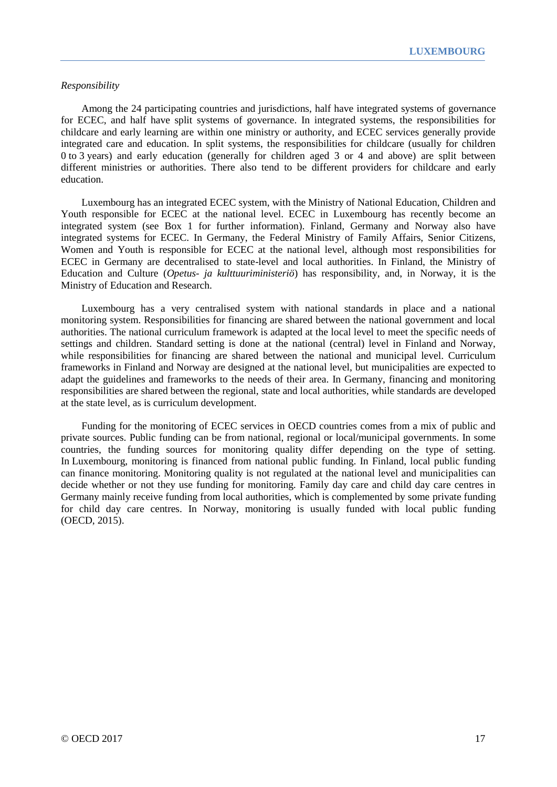## *Responsibility*

Among the 24 participating countries and jurisdictions, half have integrated systems of governance for ECEC, and half have split systems of governance. In integrated systems, the responsibilities for childcare and early learning are within one ministry or authority, and ECEC services generally provide integrated care and education. In split systems, the responsibilities for childcare (usually for children 0 to 3 years) and early education (generally for children aged 3 or 4 and above) are split between different ministries or authorities. There also tend to be different providers for childcare and early education.

Luxembourg has an integrated ECEC system, with the Ministry of National Education, Children and Youth responsible for ECEC at the national level. ECEC in Luxembourg has recently become an integrated system (see Box 1 for further information). Finland, Germany and Norway also have integrated systems for ECEC. In Germany, the Federal Ministry of Family Affairs, Senior Citizens, Women and Youth is responsible for ECEC at the national level, although most responsibilities for ECEC in Germany are decentralised to state-level and local authorities. In Finland, the Ministry of Education and Culture (*Opetus- ja kulttuuriministeriö*) has responsibility, and, in Norway, it is the Ministry of Education and Research.

Luxembourg has a very centralised system with national standards in place and a national monitoring system. Responsibilities for financing are shared between the national government and local authorities. The national curriculum framework is adapted at the local level to meet the specific needs of settings and children. Standard setting is done at the national (central) level in Finland and Norway, while responsibilities for financing are shared between the national and municipal level. Curriculum frameworks in Finland and Norway are designed at the national level, but municipalities are expected to adapt the guidelines and frameworks to the needs of their area. In Germany, financing and monitoring responsibilities are shared between the regional, state and local authorities, while standards are developed at the state level, as is curriculum development.

Funding for the monitoring of ECEC services in OECD countries comes from a mix of public and private sources. Public funding can be from national, regional or local/municipal governments. In some countries, the funding sources for monitoring quality differ depending on the type of setting. In Luxembourg, monitoring is financed from national public funding. In Finland, local public funding can finance monitoring. Monitoring quality is not regulated at the national level and municipalities can decide whether or not they use funding for monitoring. Family day care and child day care centres in Germany mainly receive funding from local authorities, which is complemented by some private funding for child day care centres. In Norway, monitoring is usually funded with local public funding (OECD, 2015).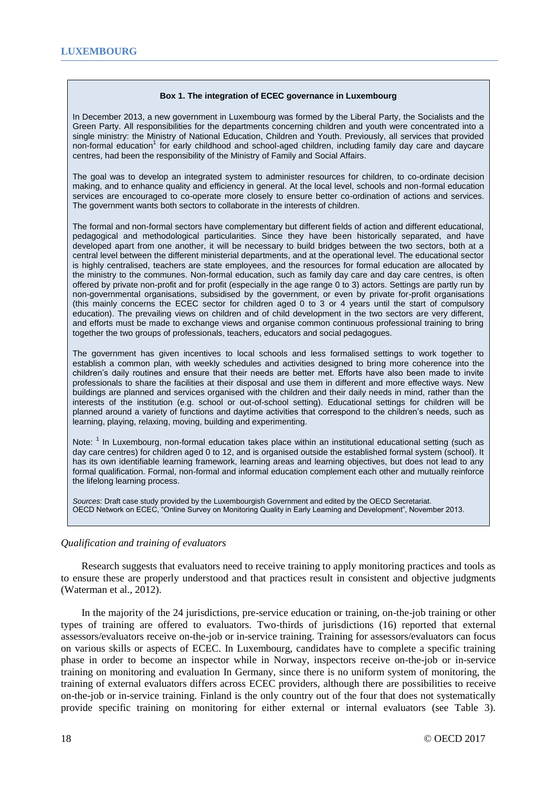## **Box 1. The integration of ECEC governance in Luxembourg**

In December 2013, a new government in Luxembourg was formed by the Liberal Party, the Socialists and the Green Party. All responsibilities for the departments concerning children and youth were concentrated into a single ministry: the Ministry of National Education, Children and Youth. Previously, all services that provided non-formal education<sup>1</sup> for early childhood and school-aged children, including family day care and daycare centres, had been the responsibility of the Ministry of Family and Social Affairs.

The goal was to develop an integrated system to administer resources for children, to co-ordinate decision making, and to enhance quality and efficiency in general. At the local level, schools and non-formal education services are encouraged to co-operate more closely to ensure better co-ordination of actions and services. The government wants both sectors to collaborate in the interests of children.

The formal and non-formal sectors have complementary but different fields of action and different educational, pedagogical and methodological particularities. Since they have been historically separated, and have developed apart from one another, it will be necessary to build bridges between the two sectors, both at a central level between the different ministerial departments, and at the operational level. The educational sector is highly centralised, teachers are state employees, and the resources for formal education are allocated by the ministry to the communes. Non-formal education, such as family day care and day care centres, is often offered by private non-profit and for profit (especially in the age range 0 to 3) actors. Settings are partly run by non-governmental organisations, subsidised by the government, or even by private for-profit organisations (this mainly concerns the ECEC sector for children aged 0 to 3 or 4 years until the start of compulsory education). The prevailing views on children and of child development in the two sectors are very different, and efforts must be made to exchange views and organise common continuous professional training to bring together the two groups of professionals, teachers, educators and social pedagogues.

The government has given incentives to local schools and less formalised settings to work together to establish a common plan, with weekly schedules and activities designed to bring more coherence into the children's daily routines and ensure that their needs are better met. Efforts have also been made to invite professionals to share the facilities at their disposal and use them in different and more effective ways. New buildings are planned and services organised with the children and their daily needs in mind, rather than the interests of the institution (e.g. school or out-of-school setting). Educational settings for children will be planned around a variety of functions and daytime activities that correspond to the children's needs, such as learning, playing, relaxing, moving, building and experimenting.

Note: <sup>1</sup> In Luxembourg, non-formal education takes place within an institutional educational setting (such as day care centres) for children aged 0 to 12, and is organised outside the established formal system (school). It has its own identifiable learning framework, learning areas and learning objectives, but does not lead to any formal qualification. Formal, non-formal and informal education complement each other and mutually reinforce the lifelong learning process.

*Sources*: Draft case study provided by the Luxembourgish Government and edited by the OECD Secretariat. OECD Network on ECEC, "Online Survey on Monitoring Quality in Early Learning and Development", November 2013.

## *Qualification and training of evaluators*

Research suggests that evaluators need to receive training to apply monitoring practices and tools as to ensure these are properly understood and that practices result in consistent and objective judgments (Waterman et al., 2012).

In the majority of the 24 jurisdictions, pre-service education or training, on-the-job training or other types of training are offered to evaluators. Two-thirds of jurisdictions (16) reported that external assessors/evaluators receive on-the-job or in-service training. Training for assessors/evaluators can focus on various skills or aspects of ECEC. In Luxembourg, candidates have to complete a specific training phase in order to become an inspector while in Norway, inspectors receive on-the-job or in-service training on monitoring and evaluation In Germany, since there is no uniform system of monitoring, the training of external evaluators differs across ECEC providers, although there are possibilities to receive on-the-job or in-service training. Finland is the only country out of the four that does not systematically provide specific training on monitoring for either external or internal evaluators (see Table 3).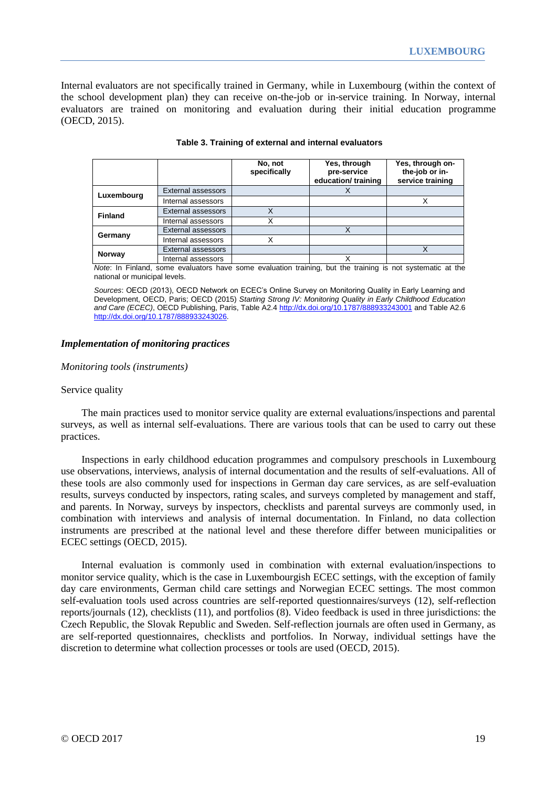Internal evaluators are not specifically trained in Germany, while in Luxembourg (within the context of the school development plan) they can receive on-the-job or in-service training. In Norway, internal evaluators are trained on monitoring and evaluation during their initial education programme (OECD, 2015).

|                |                           | No, not<br>specifically | Yes, through<br>pre-service<br>education/training | Yes, through on-<br>the-job or in-<br>service training |
|----------------|---------------------------|-------------------------|---------------------------------------------------|--------------------------------------------------------|
| Luxembourg     | External assessors        |                         |                                                   |                                                        |
|                | Internal assessors        |                         |                                                   |                                                        |
| <b>Finland</b> | External assessors        |                         |                                                   |                                                        |
|                | Internal assessors        |                         |                                                   |                                                        |
| Germany        | <b>External assessors</b> |                         |                                                   |                                                        |
|                | Internal assessors        |                         |                                                   |                                                        |
| Norway         | External assessors        |                         |                                                   |                                                        |
|                | Internal assessors        |                         |                                                   |                                                        |

*Note*: In Finland, some evaluators have some evaluation training, but the training is not systematic at the national or municipal levels.

*Sources*: OECD (2013), OECD Network on ECEC's Online Survey on Monitoring Quality in Early Learning and Development, OECD, Paris; OECD (2015) *Starting Strong IV: Monitoring Quality in Early Childhood Education and Care (ECEC)*, OECD Publishing, Paris, Table A2.4<http://dx.doi.org/10.1787/888933243001> and Table A2.6 [http://dx.doi.org/10.1787/888933243026.](http://dx.doi.org/10.1787/888933243026)

## *Implementation of monitoring practices*

#### *Monitoring tools (instruments)*

## Service quality

The main practices used to monitor service quality are external evaluations/inspections and parental surveys, as well as internal self-evaluations. There are various tools that can be used to carry out these practices.

Inspections in early childhood education programmes and compulsory preschools in Luxembourg use observations, interviews, analysis of internal documentation and the results of self-evaluations. All of these tools are also commonly used for inspections in German day care services, as are self-evaluation results, surveys conducted by inspectors, rating scales, and surveys completed by management and staff, and parents. In Norway, surveys by inspectors, checklists and parental surveys are commonly used, in combination with interviews and analysis of internal documentation. In Finland, no data collection instruments are prescribed at the national level and these therefore differ between municipalities or ECEC settings (OECD, 2015).

Internal evaluation is commonly used in combination with external evaluation/inspections to monitor service quality, which is the case in Luxembourgish ECEC settings, with the exception of family day care environments, German child care settings and Norwegian ECEC settings. The most common self-evaluation tools used across countries are self-reported questionnaires/surveys (12), self-reflection reports/journals (12), checklists (11), and portfolios (8). Video feedback is used in three jurisdictions: the Czech Republic, the Slovak Republic and Sweden. Self-reflection journals are often used in Germany, as are self-reported questionnaires, checklists and portfolios. In Norway, individual settings have the discretion to determine what collection processes or tools are used (OECD, 2015).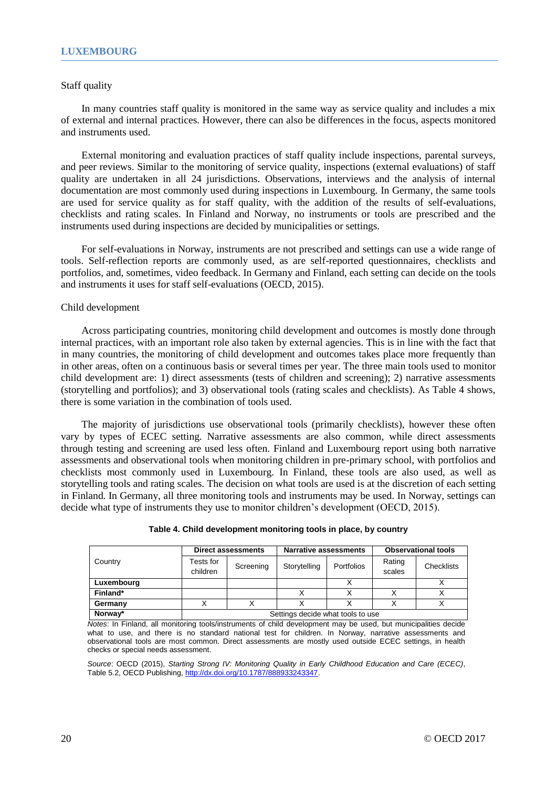## Staff quality

In many countries staff quality is monitored in the same way as service quality and includes a mix of external and internal practices. However, there can also be differences in the focus, aspects monitored and instruments used.

External monitoring and evaluation practices of staff quality include inspections, parental surveys, and peer reviews. Similar to the monitoring of service quality, inspections (external evaluations) of staff quality are undertaken in all 24 jurisdictions. Observations, interviews and the analysis of internal documentation are most commonly used during inspections in Luxembourg. In Germany, the same tools are used for service quality as for staff quality, with the addition of the results of self-evaluations, checklists and rating scales. In Finland and Norway, no instruments or tools are prescribed and the instruments used during inspections are decided by municipalities or settings.

For self-evaluations in Norway, instruments are not prescribed and settings can use a wide range of tools. Self-reflection reports are commonly used, as are self-reported questionnaires, checklists and portfolios, and, sometimes, video feedback. In Germany and Finland, each setting can decide on the tools and instruments it uses for staff self-evaluations (OECD, 2015).

#### Child development

Across participating countries, monitoring child development and outcomes is mostly done through internal practices, with an important role also taken by external agencies. This is in line with the fact that in many countries, the monitoring of child development and outcomes takes place more frequently than in other areas, often on a continuous basis or several times per year. The three main tools used to monitor child development are: 1) direct assessments (tests of children and screening); 2) narrative assessments (storytelling and portfolios); and 3) observational tools (rating scales and checklists). As Table 4 shows, there is some variation in the combination of tools used.

The majority of jurisdictions use observational tools (primarily checklists), however these often vary by types of ECEC setting. Narrative assessments are also common, while direct assessments through testing and screening are used less often. Finland and Luxembourg report using both narrative assessments and observational tools when monitoring children in pre-primary school, with portfolios and checklists most commonly used in Luxembourg. In Finland, these tools are also used, as well as storytelling tools and rating scales. The decision on what tools are used is at the discretion of each setting in Finland. In Germany, all three monitoring tools and instruments may be used. In Norway, settings can decide what type of instruments they use to monitor children's development (OECD, 2015).

|            | <b>Direct assessments</b>         |           | <b>Narrative assessments</b> |                   | <b>Observational tools</b> |            |  |  |
|------------|-----------------------------------|-----------|------------------------------|-------------------|----------------------------|------------|--|--|
| Country    | Tests for<br>children             | Screening | Storytelling                 | <b>Portfolios</b> | Rating<br>scales           | Checklists |  |  |
| Luxembourg |                                   |           |                              |                   |                            |            |  |  |
| Finland*   |                                   |           |                              |                   |                            |            |  |  |
| Germany    |                                   |           |                              |                   |                            |            |  |  |
| Norway*    | Settings decide what tools to use |           |                              |                   |                            |            |  |  |

**Table 4. Child development monitoring tools in place, by country**

*Notes*: In Finland, all monitoring tools/instruments of child development may be used, but municipalities decide what to use, and there is no standard national test for children. In Norway, narrative assessments and observational tools are most common. Direct assessments are mostly used outside ECEC settings, in health checks or special needs assessment.

*Source*: OECD (2015), *Starting Strong IV: Monitoring Quality in Early Childhood Education and Care (ECEC)*, Table 5.2, OECD Publishing, [http://dx.doi.org/10.1787/888933243347.](http://dx.doi.org/10.1787/888933243347)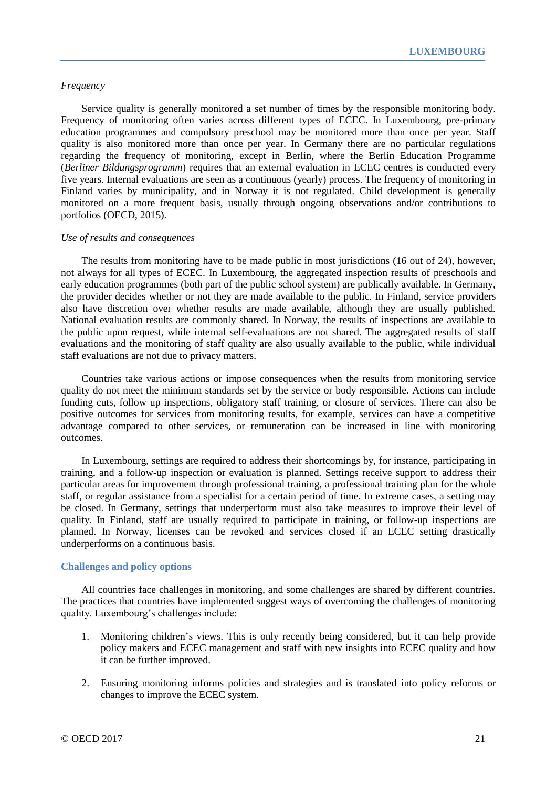## *Frequency*

Service quality is generally monitored a set number of times by the responsible monitoring body. Frequency of monitoring often varies across different types of ECEC. In Luxembourg, pre-primary education programmes and compulsory preschool may be monitored more than once per year. Staff quality is also monitored more than once per year. In Germany there are no particular regulations regarding the frequency of monitoring, except in Berlin, where the Berlin Education Programme (*Berliner Bildungsprogramm*) requires that an external evaluation in ECEC centres is conducted every five years. Internal evaluations are seen as a continuous (yearly) process. The frequency of monitoring in Finland varies by municipality, and in Norway it is not regulated. Child development is generally monitored on a more frequent basis, usually through ongoing observations and/or contributions to portfolios (OECD, 2015).

#### *Use of results and consequences*

The results from monitoring have to be made public in most jurisdictions (16 out of 24), however, not always for all types of ECEC. In Luxembourg, the aggregated inspection results of preschools and early education programmes (both part of the public school system) are publically available. In Germany, the provider decides whether or not they are made available to the public. In Finland, service providers also have discretion over whether results are made available, although they are usually published. National evaluation results are commonly shared. In Norway, the results of inspections are available to the public upon request, while internal self-evaluations are not shared. The aggregated results of staff evaluations and the monitoring of staff quality are also usually available to the public, while individual staff evaluations are not due to privacy matters.

Countries take various actions or impose consequences when the results from monitoring service quality do not meet the minimum standards set by the service or body responsible. Actions can include funding cuts, follow up inspections, obligatory staff training, or closure of services. There can also be positive outcomes for services from monitoring results, for example, services can have a competitive advantage compared to other services, or remuneration can be increased in line with monitoring outcomes.

In Luxembourg, settings are required to address their shortcomings by, for instance, participating in training, and a follow-up inspection or evaluation is planned. Settings receive support to address their particular areas for improvement through professional training, a professional training plan for the whole staff, or regular assistance from a specialist for a certain period of time. In extreme cases, a setting may be closed. In Germany, settings that underperform must also take measures to improve their level of quality. In Finland, staff are usually required to participate in training, or follow-up inspections are planned. In Norway, licenses can be revoked and services closed if an ECEC setting drastically underperforms on a continuous basis.

## **Challenges and policy options**

All countries face challenges in monitoring, and some challenges are shared by different countries. The practices that countries have implemented suggest ways of overcoming the challenges of monitoring quality. Luxembourg's challenges include:

- 1. Monitoring children's views. This is only recently being considered, but it can help provide policy makers and ECEC management and staff with new insights into ECEC quality and how it can be further improved.
- 2. Ensuring monitoring informs policies and strategies and is translated into policy reforms or changes to improve the ECEC system.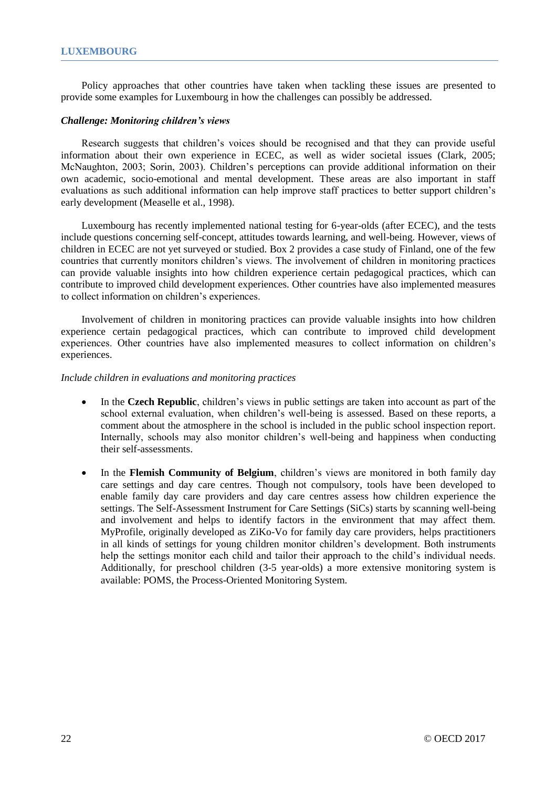Policy approaches that other countries have taken when tackling these issues are presented to provide some examples for Luxembourg in how the challenges can possibly be addressed.

### *Challenge: Monitoring children's views*

Research suggests that children's voices should be recognised and that they can provide useful information about their own experience in ECEC, as well as wider societal issues (Clark, 2005; McNaughton, 2003; Sorin, 2003). Children's perceptions can provide additional information on their own academic, socio-emotional and mental development. These areas are also important in staff evaluations as such additional information can help improve staff practices to better support children's early development (Measelle et al., 1998).

Luxembourg has recently implemented national testing for 6-year-olds (after ECEC), and the tests include questions concerning self-concept, attitudes towards learning, and well-being. However, views of children in ECEC are not yet surveyed or studied. Box 2 provides a case study of Finland, one of the few countries that currently monitors children's views. The involvement of children in monitoring practices can provide valuable insights into how children experience certain pedagogical practices, which can contribute to improved child development experiences. Other countries have also implemented measures to collect information on children's experiences.

Involvement of children in monitoring practices can provide valuable insights into how children experience certain pedagogical practices, which can contribute to improved child development experiences. Other countries have also implemented measures to collect information on children's experiences.

### *Include children in evaluations and monitoring practices*

- In the **Czech Republic**, children's views in public settings are taken into account as part of the school external evaluation, when children's well-being is assessed. Based on these reports, a comment about the atmosphere in the school is included in the public school inspection report. Internally, schools may also monitor children's well-being and happiness when conducting their self-assessments.
- In the **Flemish Community of Belgium**, children's views are monitored in both family day care settings and day care centres. Though not compulsory, tools have been developed to enable family day care providers and day care centres assess how children experience the settings. The Self-Assessment Instrument for Care Settings (SiCs) starts by scanning well-being and involvement and helps to identify factors in the environment that may affect them. MyProfile, originally developed as ZiKo-Vo for family day care providers, helps practitioners in all kinds of settings for young children monitor children's development. Both instruments help the settings monitor each child and tailor their approach to the child's individual needs. Additionally, for preschool children (3-5 year-olds) a more extensive monitoring system is available: POMS, the Process-Oriented Monitoring System.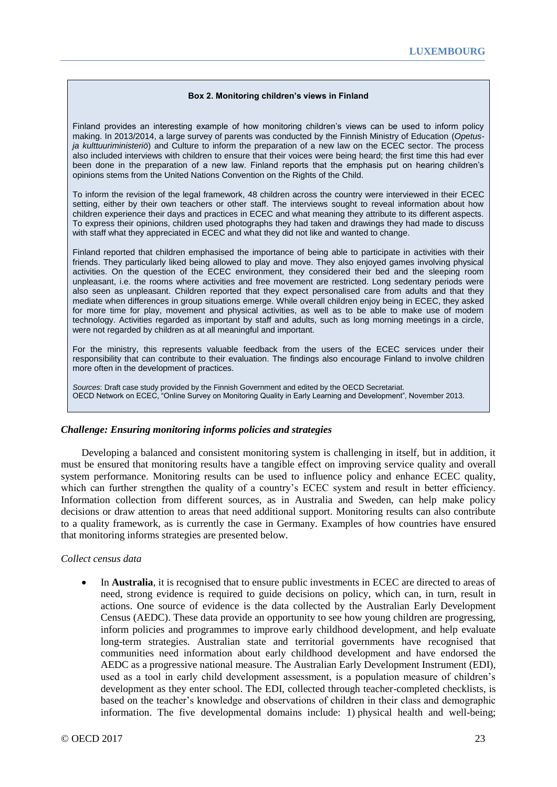## **Box 2. Monitoring children's views in Finland**

Finland provides an interesting example of how monitoring children's views can be used to inform policy making. In 2013/2014, a large survey of parents was conducted by the Finnish Ministry of Education (*Opetusja kulttuuriministeriö*) and Culture to inform the preparation of a new law on the ECEC sector. The process also included interviews with children to ensure that their voices were being heard; the first time this had ever been done in the preparation of a new law. Finland reports that the emphasis put on hearing children's opinions stems from the United Nations Convention on the Rights of the Child.

To inform the revision of the legal framework, 48 children across the country were interviewed in their ECEC setting, either by their own teachers or other staff. The interviews sought to reveal information about how children experience their days and practices in ECEC and what meaning they attribute to its different aspects. To express their opinions, children used photographs they had taken and drawings they had made to discuss with staff what they appreciated in ECEC and what they did not like and wanted to change.

Finland reported that children emphasised the importance of being able to participate in activities with their friends. They particularly liked being allowed to play and move. They also enjoyed games involving physical activities. On the question of the ECEC environment, they considered their bed and the sleeping room unpleasant, i.e. the rooms where activities and free movement are restricted. Long sedentary periods were also seen as unpleasant. Children reported that they expect personalised care from adults and that they mediate when differences in group situations emerge. While overall children enjoy being in ECEC, they asked for more time for play, movement and physical activities, as well as to be able to make use of modern technology. Activities regarded as important by staff and adults, such as long morning meetings in a circle, were not regarded by children as at all meaningful and important.

For the ministry, this represents valuable feedback from the users of the ECEC services under their responsibility that can contribute to their evaluation. The findings also encourage Finland to involve children more often in the development of practices.

*Sources*: Draft case study provided by the Finnish Government and edited by the OECD Secretariat. OECD Network on ECEC, "Online Survey on Monitoring Quality in Early Learning and Development", November 2013.

## *Challenge: Ensuring monitoring informs policies and strategies*

Developing a balanced and consistent monitoring system is challenging in itself, but in addition, it must be ensured that monitoring results have a tangible effect on improving service quality and overall system performance. Monitoring results can be used to influence policy and enhance ECEC quality, which can further strengthen the quality of a country's ECEC system and result in better efficiency. Information collection from different sources, as in Australia and Sweden, can help make policy decisions or draw attention to areas that need additional support. Monitoring results can also contribute to a quality framework, as is currently the case in Germany. Examples of how countries have ensured that monitoring informs strategies are presented below.

### *Collect census data*

 In **Australia**, it is recognised that to ensure public investments in ECEC are directed to areas of need, strong evidence is required to guide decisions on policy, which can, in turn, result in actions. One source of evidence is the data collected by the Australian Early Development Census (AEDC). These data provide an opportunity to see how young children are progressing, inform policies and programmes to improve early childhood development, and help evaluate long-term strategies. Australian state and territorial governments have recognised that communities need information about early childhood development and have endorsed the AEDC as a progressive national measure. The Australian Early Development Instrument (EDI), used as a tool in early child development assessment, is a population measure of children's development as they enter school. The EDI, collected through teacher-completed checklists, is based on the teacher's knowledge and observations of children in their class and demographic information. The five developmental domains include: 1) physical health and well-being;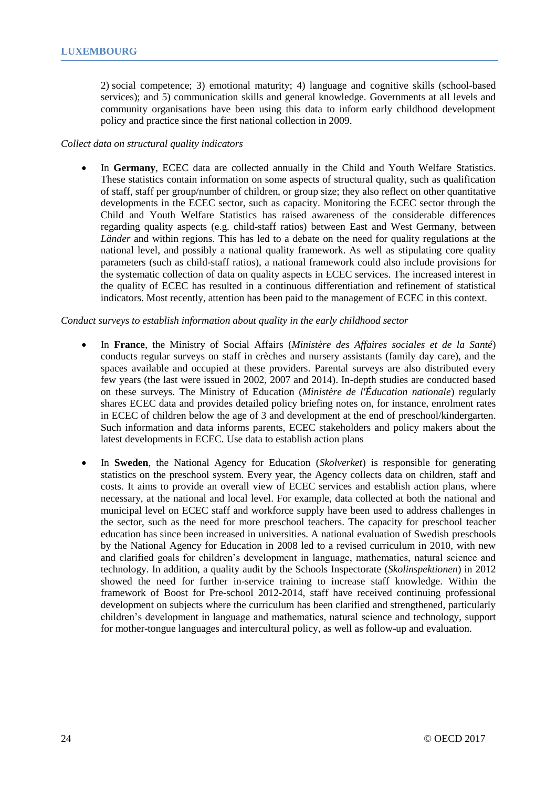2) social competence; 3) emotional maturity; 4) language and cognitive skills (school-based services); and 5) communication skills and general knowledge. Governments at all levels and community organisations have been using this data to inform early childhood development policy and practice since the first national collection in 2009.

## *Collect data on structural quality indicators*

 In **Germany**, ECEC data are collected annually in the Child and Youth Welfare Statistics. These statistics contain information on some aspects of structural quality, such as qualification of staff, staff per group/number of children, or group size; they also reflect on other quantitative developments in the ECEC sector, such as capacity. Monitoring the ECEC sector through the Child and Youth Welfare Statistics has raised awareness of the considerable differences regarding quality aspects (e.g. child-staff ratios) between East and West Germany, between *Länder* and within regions. This has led to a debate on the need for quality regulations at the national level, and possibly a national quality framework. As well as stipulating core quality parameters (such as child-staff ratios), a national framework could also include provisions for the systematic collection of data on quality aspects in ECEC services. The increased interest in the quality of ECEC has resulted in a continuous differentiation and refinement of statistical indicators. Most recently, attention has been paid to the management of ECEC in this context.

## *Conduct surveys to establish information about quality in the early childhood sector*

- In **France**, the Ministry of Social Affairs (*Ministère des Affaires sociales et de la Santé*) conducts regular surveys on staff in crèches and nursery assistants (family day care), and the spaces available and occupied at these providers. Parental surveys are also distributed every few years (the last were issued in 2002, 2007 and 2014). In-depth studies are conducted based on these surveys. The Ministry of Education (*Ministère de l'Éducation nationale*) regularly shares ECEC data and provides detailed policy briefing notes on, for instance, enrolment rates in ECEC of children below the age of 3 and development at the end of preschool/kindergarten. Such information and data informs parents, ECEC stakeholders and policy makers about the latest developments in ECEC. Use data to establish action plans
- In **Sweden**, the National Agency for Education (*Skolverket*) is responsible for generating statistics on the preschool system. Every year, the Agency collects data on children, staff and costs. It aims to provide an overall view of ECEC services and establish action plans, where necessary, at the national and local level. For example, data collected at both the national and municipal level on ECEC staff and workforce supply have been used to address challenges in the sector, such as the need for more preschool teachers. The capacity for preschool teacher education has since been increased in universities. A national evaluation of Swedish preschools by the National Agency for Education in 2008 led to a revised curriculum in 2010, with new and clarified goals for children's development in language, mathematics, natural science and technology. In addition, a quality audit by the Schools Inspectorate (*Skolinspektionen*) in 2012 showed the need for further in-service training to increase staff knowledge. Within the framework of Boost for Pre-school 2012-2014, staff have received continuing professional development on subjects where the curriculum has been clarified and strengthened, particularly children's development in language and mathematics, natural science and technology, support for mother-tongue languages and intercultural policy, as well as follow-up and evaluation.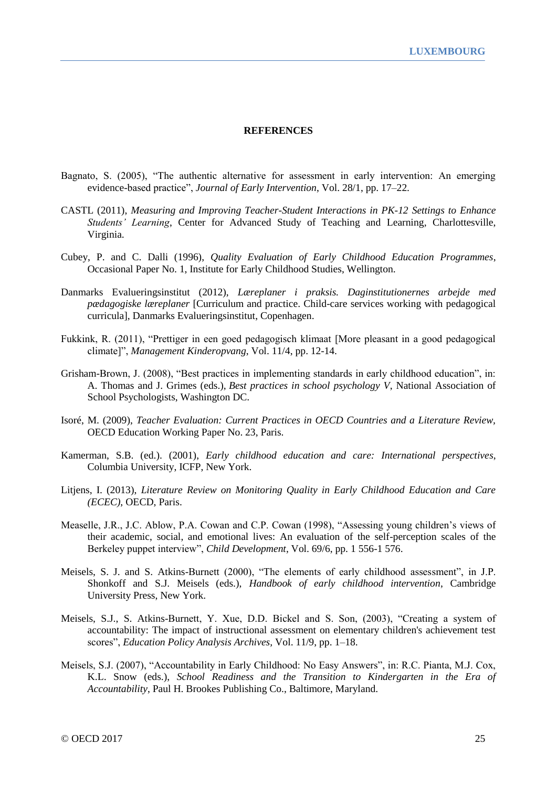## **REFERENCES**

- Bagnato, S. (2005), "The authentic alternative for assessment in early intervention: An emerging evidence-based practice", *Journal of Early Intervention*, Vol. 28/1, pp. 17–22.
- CASTL (2011), *Measuring and Improving Teacher-Student Interactions in PK-12 Settings to Enhance Students' Learning*, Center for Advanced Study of Teaching and Learning, Charlottesville, Virginia.
- Cubey, P. and C. Dalli (1996), *Quality Evaluation of Early Childhood Education Programmes*, Occasional Paper No. 1, Institute for Early Childhood Studies, Wellington.
- Danmarks Evalueringsinstitut (2012), *Læreplaner i praksis. Daginstitutionernes arbejde med pædagogiske læreplaner* [Curriculum and practice. Child-care services working with pedagogical curricula], Danmarks Evalueringsinstitut, Copenhagen.
- Fukkink, R. (2011), "Prettiger in een goed pedagogisch klimaat [More pleasant in a good pedagogical climate]", *Management Kinderopvang*, Vol. 11/4, pp. 12-14.
- Grisham-Brown, J. (2008), "Best practices in implementing standards in early childhood education", in: A. Thomas and J. Grimes (eds.), *Best practices in school psychology V*, National Association of School Psychologists, Washington DC.
- Isoré, M. (2009), *Teacher Evaluation: Current Practices in OECD Countries and a Literature Review,*  OECD Education Working Paper No. 23, Paris.
- Kamerman, S.B. (ed.). (2001), *Early childhood education and care: International perspectives*, Columbia University, ICFP, New York.
- Litjens, I. (2013), *Literature Review on Monitoring Quality in Early Childhood Education and Care (ECEC)*, OECD, Paris.
- Measelle, J.R., J.C. Ablow, P.A. Cowan and C.P. Cowan (1998), "Assessing young children's views of their academic, social, and emotional lives: An evaluation of the self-perception scales of the Berkeley puppet interview", *Child Development*, Vol. 69/6, pp. 1 556-1 576.
- Meisels, S. J. and S. Atkins-Burnett (2000), "The elements of early childhood assessment", in J.P. Shonkoff and S.J. Meisels (eds.), *Handbook of early childhood intervention*, Cambridge University Press, New York.
- Meisels, S.J., S. Atkins-Burnett, Y. Xue, D.D. Bickel and S. Son, (2003), "Creating a system of accountability: The impact of instructional assessment on elementary children's achievement test scores", *Education Policy Analysis Archives,* Vol. 11/9, pp. 1–18.
- Meisels, S.J. (2007), "Accountability in Early Childhood: No Easy Answers", in: R.C. Pianta, M.J. Cox, K.L. Snow (eds.), *School Readiness and the Transition to Kindergarten in the Era of Accountability*, Paul H. Brookes Publishing Co., Baltimore, Maryland.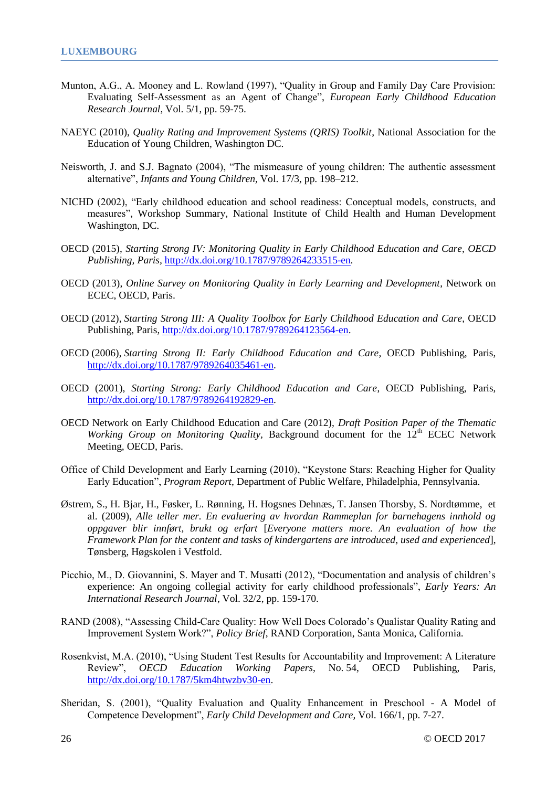- Munton, A.G., A. Mooney and L. Rowland (1997), "Quality in Group and Family Day Care Provision: Evaluating Self-Assessment as an Agent of Change", *European Early Childhood Education Research Journal*, Vol. 5/1, pp. 59-75.
- NAEYC (2010), *Quality Rating and Improvement Systems (QRIS) Toolkit*, National Association for the Education of Young Children, Washington DC.
- Neisworth, J. and S.J. Bagnato (2004), "The mismeasure of young children: The authentic assessment alternative", *Infants and Young Children,* Vol. 17/3, pp. 198–212.
- NICHD (2002), "Early childhood education and school readiness: Conceptual models, constructs, and measures", Workshop Summary, National Institute of Child Health and Human Development Washington, DC.
- OECD (2015), *Starting Strong IV: Monitoring Quality in Early Childhood Education and Care, OECD Publishing, Paris,* <http://dx.doi.org/10.1787/9789264233515-en>*.*
- OECD (2013), *Online Survey on Monitoring Quality in Early Learning and Development*, Network on ECEC, OECD, Paris.
- OECD (2012), *Starting Strong III: A Quality Toolbox for Early Childhood Education and Care*, OECD Publishing, Paris, [http://dx.doi.org/10.1787/9789264123564-en.](http://dx.doi.org/10.1787/9789264123564-en)
- OECD (2006), *Starting Strong II: Early Childhood Education and Care*, OECD Publishing, Paris, [http://dx.doi.org/10.1787/9789264035461-en.](http://dx.doi.org/10.1787/9789264035461-en)
- OECD (2001), *Starting Strong: Early Childhood Education and Care*, OECD Publishing, Paris, [http://dx.doi.org/10.1787/9789264192829-en.](http://dx.doi.org/10.1787/9789264192829-en)
- OECD Network on Early Childhood Education and Care (2012), *Draft Position Paper of the Thematic Working Group on Monitoring Quality, Background document for the 12<sup>th</sup> ECEC Network* Meeting, OECD, Paris.
- Office of Child Development and Early Learning (2010), "Keystone Stars: Reaching Higher for Quality Early Education", *Program Report*, Department of Public Welfare, Philadelphia, Pennsylvania.
- Østrem, S., H. Bjar, H., Føsker, L. Rønning, H. Hogsnes Dehnæs, T. Jansen Thorsby, S. Nordtømme, et al. (2009), *Alle teller mer. En evaluering av hvordan Rammeplan for barnehagens innhold og oppgaver blir innført, brukt og erfart* [*Everyone matters more. An evaluation of how the Framework Plan for the content and tasks of kindergartens are introduced, used and experienced*], Tønsberg, Høgskolen i Vestfold.
- Picchio, M., D. Giovannini, S. Mayer and T. Musatti (2012), "Documentation and analysis of children's experience: An ongoing collegial activity for early childhood professionals", *Early Years: An International Research Journal*, Vol. 32/2, pp. 159-170.
- RAND (2008), "Assessing Child-Care Quality: How Well Does Colorado's Qualistar Quality Rating and Improvement System Work?", *Policy Brief*, RAND Corporation, Santa Monica, California.
- Rosenkvist, M.A. (2010), "Using Student Test Results for Accountability and Improvement: A Literature Review", *OECD Education Working Papers*, No. 54, OECD Publishing, Paris, [http://dx.doi.org/10.1787/5km4htwzbv30-en.](http://dx.doi.org/10.1787/5km4htwzbv30-en)
- Sheridan, S. (2001), "Quality Evaluation and Quality Enhancement in Preschool A Model of Competence Development", *Early Child Development and Care,* Vol. 166/1, pp. 7-27.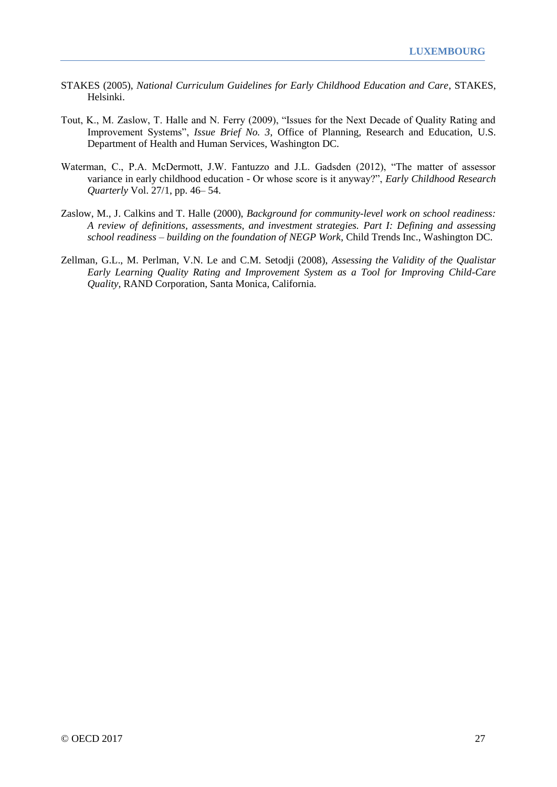- STAKES (2005), *National Curriculum Guidelines for Early Childhood Education and Care*, STAKES, Helsinki.
- Tout, K., M. Zaslow, T. Halle and N. Ferry (2009), "Issues for the Next Decade of Quality Rating and Improvement Systems", *Issue Brief No. 3*, Office of Planning, Research and Education, U.S. Department of Health and Human Services, Washington DC.
- Waterman, C., P.A. McDermott, J.W. Fantuzzo and J.L. Gadsden (2012), "The matter of assessor variance in early childhood education - Or whose score is it anyway?", *Early Childhood Research Quarterly* Vol. 27/1, pp. 46– 54.
- Zaslow, M., J. Calkins and T. Halle (2000), *Background for community-level work on school readiness: A review of definitions, assessments, and investment strategies. Part I: Defining and assessing school readiness – building on the foundation of NEGP Work*, Child Trends Inc., Washington DC.
- Zellman, G.L., M. Perlman, V.N. Le and C.M. Setodji (2008), *Assessing the Validity of the Qualistar Early Learning Quality Rating and Improvement System as a Tool for Improving Child-Care Quality*, RAND Corporation, Santa Monica, California.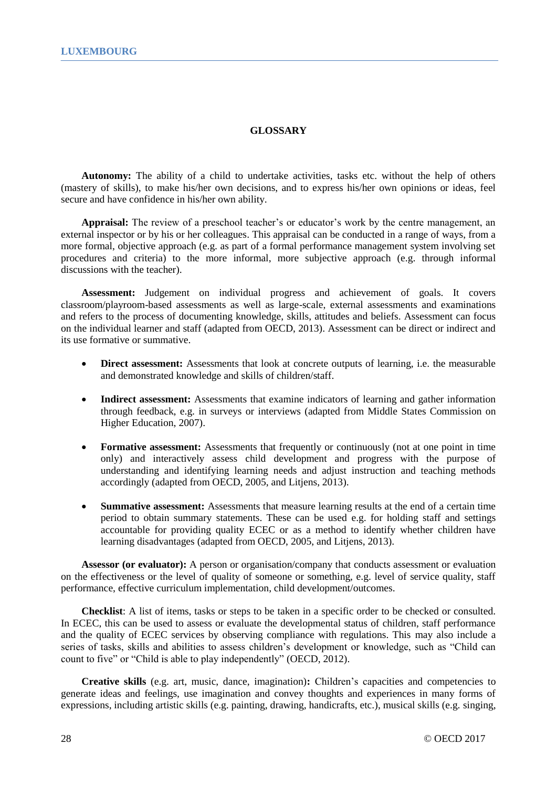## **GLOSSARY**

**Autonomy:** The ability of a child to undertake activities, tasks etc. without the help of others (mastery of skills), to make his/her own decisions, and to express his/her own opinions or ideas, feel secure and have confidence in his/her own ability.

**Appraisal:** The review of a preschool teacher's or educator's work by the centre management, an external inspector or by his or her colleagues. This appraisal can be conducted in a range of ways, from a more formal, objective approach (e.g. as part of a formal performance management system involving set procedures and criteria) to the more informal, more subjective approach (e.g. through informal discussions with the teacher).

**Assessment:** Judgement on individual progress and achievement of goals. It covers classroom/playroom-based assessments as well as large-scale, external assessments and examinations and refers to the process of documenting knowledge, skills, attitudes and beliefs. Assessment can focus on the individual learner and staff (adapted from OECD, 2013). Assessment can be direct or indirect and its use formative or summative.

- **Direct assessment:** Assessments that look at concrete outputs of learning, i.e. the measurable and demonstrated knowledge and skills of children/staff.
- **Indirect assessment:** Assessments that examine indicators of learning and gather information through feedback, e.g. in surveys or interviews (adapted from Middle States Commission on Higher Education, 2007).
- **Formative assessment:** Assessments that frequently or continuously (not at one point in time only) and interactively assess child development and progress with the purpose of understanding and identifying learning needs and adjust instruction and teaching methods accordingly (adapted from OECD, 2005, and Litjens, 2013).
- **Summative assessment:** Assessments that measure learning results at the end of a certain time period to obtain summary statements. These can be used e.g. for holding staff and settings accountable for providing quality ECEC or as a method to identify whether children have learning disadvantages (adapted from OECD, 2005, and Litjens, 2013).

**Assessor (or evaluator):** A person or organisation/company that conducts assessment or evaluation on the effectiveness or the level of quality of someone or something, e.g. level of service quality, staff performance, effective curriculum implementation, child development/outcomes.

**Checklist**: A list of items, tasks or steps to be taken in a specific order to be checked or consulted. In ECEC, this can be used to assess or evaluate the developmental status of children, staff performance and the quality of ECEC services by observing compliance with regulations. This may also include a series of tasks, skills and abilities to assess children's development or knowledge, such as "Child can count to five" or "Child is able to play independently" (OECD, 2012).

**Creative skills** (e.g. art, music, dance, imagination)**:** Children's capacities and competencies to generate ideas and feelings, use imagination and convey thoughts and experiences in many forms of expressions, including artistic skills (e.g. painting, drawing, handicrafts, etc.), musical skills (e.g. singing,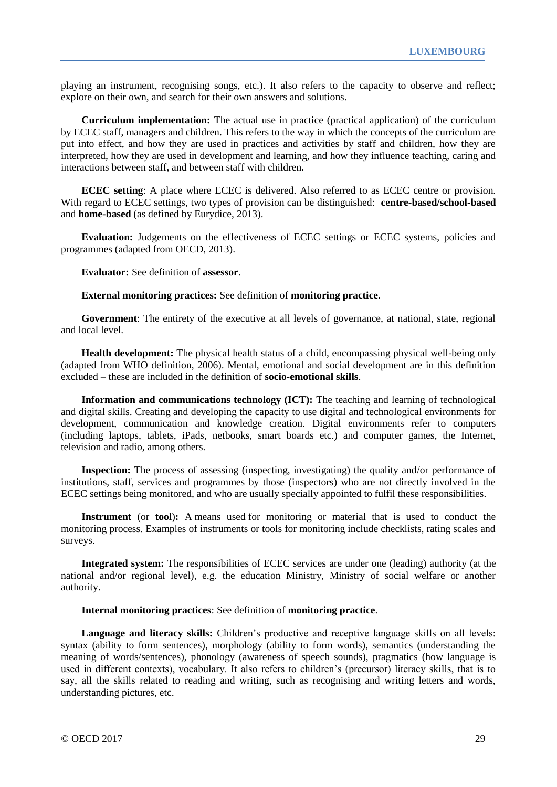playing an instrument, recognising songs, etc.). It also refers to the capacity to observe and reflect; explore on their own, and search for their own answers and solutions.

**Curriculum implementation:** The actual use in practice (practical application) of the curriculum by ECEC staff, managers and children. This refers to the way in which the concepts of the curriculum are put into effect, and how they are used in practices and activities by staff and children, how they are interpreted, how they are used in development and learning, and how they influence teaching, caring and interactions between staff, and between staff with children.

**ECEC setting**: A place where ECEC is delivered. Also referred to as ECEC centre or provision. With regard to ECEC settings, two types of provision can be distinguished: **centre-based/school-based**  and **home-based** (as defined by Eurydice, 2013).

**Evaluation:** Judgements on the effectiveness of ECEC settings or ECEC systems, policies and programmes (adapted from OECD, 2013).

**Evaluator:** See definition of **assessor**.

**External monitoring practices:** See definition of **monitoring practice**.

**Government**: The entirety of the executive at all levels of governance, at national, state, regional and local level.

**Health development:** The physical health status of a child, encompassing physical well-being only (adapted from WHO definition, 2006). Mental, emotional and social development are in this definition excluded – these are included in the definition of **socio-emotional skills**.

**Information and communications technology (ICT):** The teaching and learning of technological and digital skills. Creating and developing the capacity to use digital and technological environments for development, communication and knowledge creation. Digital environments refer to computers (including laptops, tablets, iPads, netbooks, smart boards etc.) and computer games, the Internet, television and radio, among others.

Inspection: The process of assessing (inspecting, investigating) the quality and/or performance of institutions, staff, services and programmes by those (inspectors) who are not directly involved in the ECEC settings being monitored, and who are usually specially appointed to fulfil these responsibilities.

**Instrument** (or **tool**): A means used for monitoring or material that is used to conduct the monitoring process. Examples of instruments or tools for monitoring include checklists, rating scales and surveys.

**Integrated system:** The responsibilities of ECEC services are under one (leading) authority (at the national and/or regional level), e.g. the education Ministry, Ministry of social welfare or another authority.

### **Internal monitoring practices**: See definition of **monitoring practice**.

**Language and literacy skills:** Children's productive and receptive language skills on all levels: syntax (ability to form sentences), morphology (ability to form words), semantics (understanding the meaning of words/sentences), phonology (awareness of speech sounds), pragmatics (how language is used in different contexts), vocabulary. It also refers to children's (precursor) literacy skills, that is to say, all the skills related to reading and writing, such as recognising and writing letters and words, understanding pictures, etc.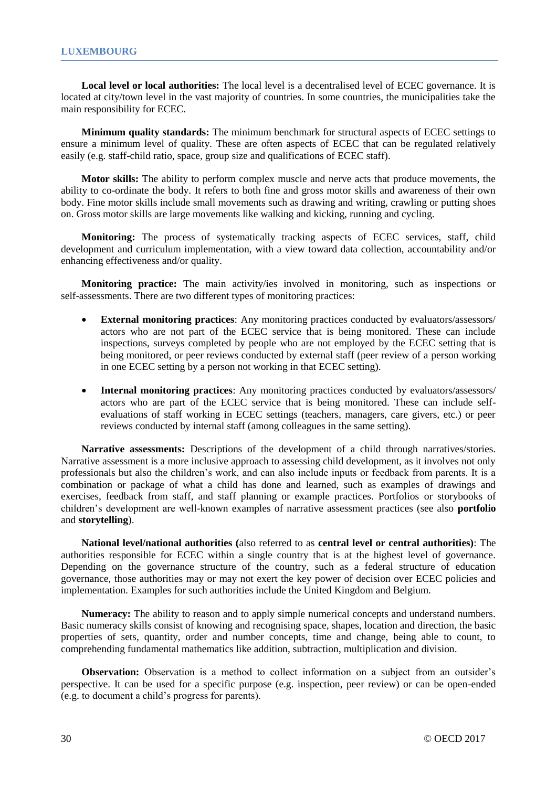**Local level or local authorities:** The local level is a decentralised level of ECEC governance. It is located at city/town level in the vast majority of countries. In some countries, the municipalities take the main responsibility for ECEC.

**Minimum quality standards:** The minimum benchmark for structural aspects of ECEC settings to ensure a minimum level of quality. These are often aspects of ECEC that can be regulated relatively easily (e.g. staff-child ratio, space, group size and qualifications of ECEC staff).

**Motor skills:** The ability to perform complex muscle and nerve acts that produce movements, the ability to co-ordinate the body. It refers to both fine and gross motor skills and awareness of their own body. Fine motor skills include small movements such as drawing and writing, crawling or putting shoes on. Gross motor skills are large movements like walking and kicking, running and cycling.

**Monitoring:** The process of systematically tracking aspects of ECEC services, staff, child development and curriculum implementation, with a view toward data collection, accountability and/or enhancing effectiveness and/or quality.

**Monitoring practice:** The main activity/ies involved in monitoring, such as inspections or self-assessments. There are two different types of monitoring practices:

- **External monitoring practices**: Any monitoring practices conducted by evaluators/assessors/ actors who are not part of the ECEC service that is being monitored. These can include inspections, surveys completed by people who are not employed by the ECEC setting that is being monitored, or peer reviews conducted by external staff (peer review of a person working in one ECEC setting by a person not working in that ECEC setting).
- **Internal monitoring practices**: Any monitoring practices conducted by evaluators/assessors/ actors who are part of the ECEC service that is being monitored. These can include selfevaluations of staff working in ECEC settings (teachers, managers, care givers, etc.) or peer reviews conducted by internal staff (among colleagues in the same setting).

**Narrative assessments:** Descriptions of the development of a child through narratives/stories. Narrative assessment is a more inclusive approach to assessing child development, as it involves not only professionals but also the children's work, and can also include inputs or feedback from parents. It is a combination or package of what a child has done and learned, such as examples of drawings and exercises, feedback from staff, and staff planning or example practices. Portfolios or storybooks of children's development are well-known examples of narrative assessment practices (see also **portfolio** and **storytelling**).

**National level/national authorities (**also referred to as **central level or central authorities)**: The authorities responsible for ECEC within a single country that is at the highest level of governance. Depending on the governance structure of the country, such as a federal structure of education governance, those authorities may or may not exert the key power of decision over ECEC policies and implementation. Examples for such authorities include the United Kingdom and Belgium.

**Numeracy:** The ability to reason and to apply simple numerical concepts and understand numbers. Basic numeracy skills consist of knowing and recognising space, shapes, location and direction, the basic properties of sets, quantity, order and number concepts, time and change, being able to count, to comprehending fundamental mathematics like addition, subtraction, multiplication and division.

**Observation:** Observation is a method to collect information on a subject from an outsider's perspective. It can be used for a specific purpose (e.g. inspection, peer review) or can be open-ended (e.g. to document a child's progress for parents).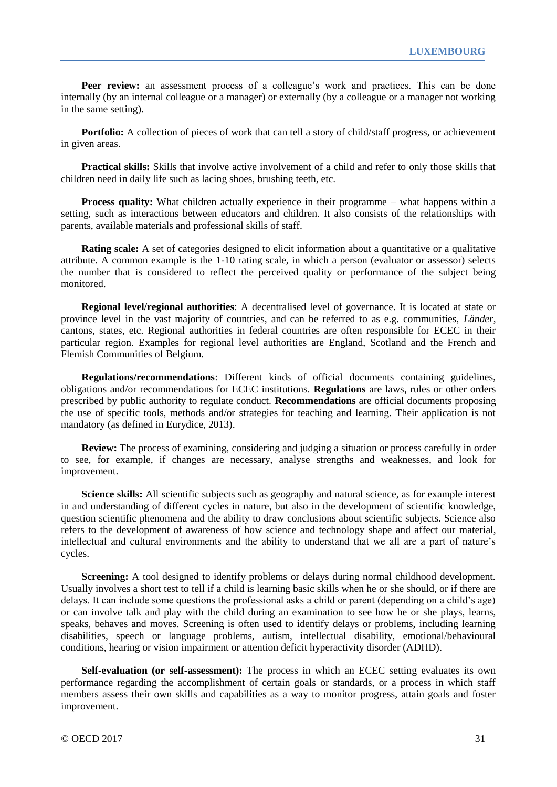**Peer review:** an assessment process of a colleague's work and practices. This can be done internally (by an internal colleague or a manager) or externally (by a colleague or a manager not working in the same setting).

**Portfolio:** A collection of pieces of work that can tell a story of child/staff progress, or achievement in given areas.

**Practical skills:** Skills that involve active involvement of a child and refer to only those skills that children need in daily life such as lacing shoes, brushing teeth, etc.

**Process quality:** What children actually experience in their programme – what happens within a setting, such as interactions between educators and children. It also consists of the relationships with parents, available materials and professional skills of staff.

**Rating scale:** A set of categories designed to elicit information about a quantitative or a qualitative attribute. A common example is the 1-10 rating scale, in which a person (evaluator or assessor) selects the number that is considered to reflect the perceived quality or performance of the subject being monitored.

**Regional level/regional authorities**: A decentralised level of governance. It is located at state or province level in the vast majority of countries, and can be referred to as e.g. communities, *Länder*, cantons, states, etc. Regional authorities in federal countries are often responsible for ECEC in their particular region. Examples for regional level authorities are England, Scotland and the French and Flemish Communities of Belgium.

**Regulations/recommendations**: Different kinds of official documents containing guidelines, obligations and/or recommendations for ECEC institutions. **Regulations** are laws, rules or other orders prescribed by public authority to regulate conduct. **Recommendations** are official documents proposing the use of specific tools, methods and/or strategies for teaching and learning. Their application is not mandatory (as defined in Eurydice, 2013).

**Review:** The process of examining, considering and judging a situation or process carefully in order to see, for example, if changes are necessary, analyse strengths and weaknesses, and look for improvement.

**Science skills:** All scientific subjects such as geography and natural science, as for example interest in and understanding of different cycles in nature, but also in the development of scientific knowledge, question scientific phenomena and the ability to draw conclusions about scientific subjects. Science also refers to the development of awareness of how science and technology shape and affect our material, intellectual and cultural environments and the ability to understand that we all are a part of nature's cycles.

**Screening:** A tool designed to identify problems or delays during normal childhood development. Usually involves a short test to tell if a child is learning basic skills when he or she should, or if there are delays. It can include some questions the professional asks a child or parent (depending on a child's age) or can involve talk and play with the child during an examination to see how he or she plays, learns, speaks, behaves and moves. Screening is often used to identify delays or problems, including learning disabilities, speech or language problems, autism, intellectual disability, emotional/behavioural conditions, hearing or vision impairment or attention deficit hyperactivity disorder (ADHD).

**Self-evaluation (or self-assessment):** The process in which an ECEC setting evaluates its own performance regarding the accomplishment of certain goals or standards, or a process in which staff members assess their own skills and capabilities as a way to monitor progress, attain goals and foster improvement.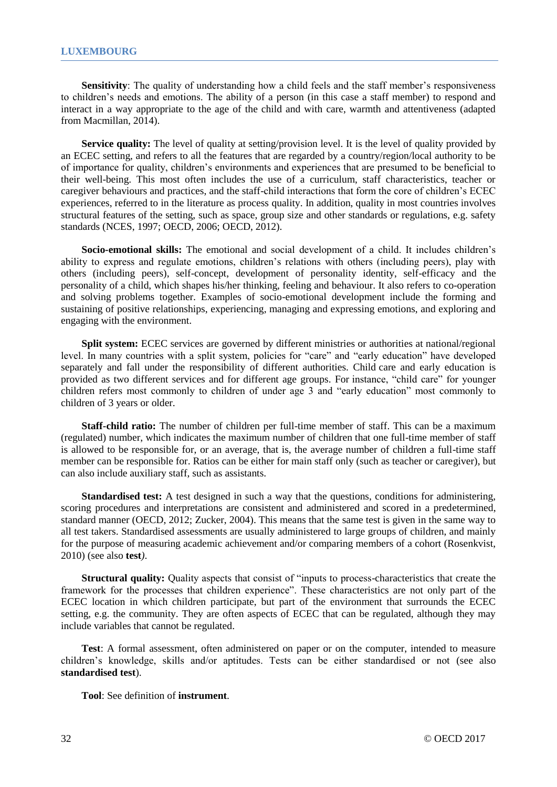**Sensitivity**: The quality of understanding how a child feels and the staff member's responsiveness to children's needs and emotions. The ability of a person (in this case a staff member) to respond and interact in a way appropriate to the age of the child and with care, warmth and attentiveness (adapted from Macmillan, 2014).

**Service quality:** The level of quality at setting/provision level. It is the level of quality provided by an ECEC setting, and refers to all the features that are regarded by a country/region/local authority to be of importance for quality, children's environments and experiences that are presumed to be beneficial to their well-being. This most often includes the use of a curriculum, staff characteristics, teacher or caregiver behaviours and practices, and the staff-child interactions that form the core of children's ECEC experiences, referred to in the literature as process quality. In addition, quality in most countries involves structural features of the setting, such as space, group size and other standards or regulations, e.g. safety standards (NCES, 1997; OECD, 2006; OECD, 2012).

**Socio-emotional skills:** The emotional and social development of a child. It includes children's ability to express and regulate emotions, children's relations with others (including peers), play with others (including peers), self-concept, development of personality identity, self-efficacy and the personality of a child, which shapes his/her thinking, feeling and behaviour. It also refers to co-operation and solving problems together. Examples of socio-emotional development include the forming and sustaining of positive relationships, experiencing, managing and expressing emotions, and exploring and engaging with the environment.

**Split system:** ECEC services are governed by different ministries or authorities at national/regional level. In many countries with a split system, policies for "care" and "early education" have developed separately and fall under the responsibility of different authorities. Child care and early education is provided as two different services and for different age groups. For instance, "child care" for younger children refers most commonly to children of under age 3 and "early education" most commonly to children of 3 years or older.

**Staff-child ratio:** The number of children per full-time member of staff. This can be a maximum (regulated) number, which indicates the maximum number of children that one full-time member of staff is allowed to be responsible for, or an average, that is, the average number of children a full-time staff member can be responsible for. Ratios can be either for main staff only (such as teacher or caregiver), but can also include auxiliary staff, such as assistants.

**Standardised test:** A test designed in such a way that the questions, conditions for administering, scoring procedures and interpretations are consistent and administered and scored in a predetermined, standard manner (OECD, 2012; Zucker, 2004). This means that the same test is given in the same way to all test takers. Standardised assessments are usually administered to large groups of children, and mainly for the purpose of measuring academic achievement and/or comparing members of a cohort (Rosenkvist, 2010) (see also **test***)*.

**Structural quality:** Quality aspects that consist of "inputs to process-characteristics that create the framework for the processes that children experience". These characteristics are not only part of the ECEC location in which children participate, but part of the environment that surrounds the ECEC setting, e.g. the community. They are often aspects of ECEC that can be regulated, although they may include variables that cannot be regulated.

**Test**: A formal assessment, often administered on paper or on the computer, intended to measure children's knowledge, skills and/or aptitudes. Tests can be either standardised or not (see also **standardised test**).

**Tool**: See definition of **instrument**.